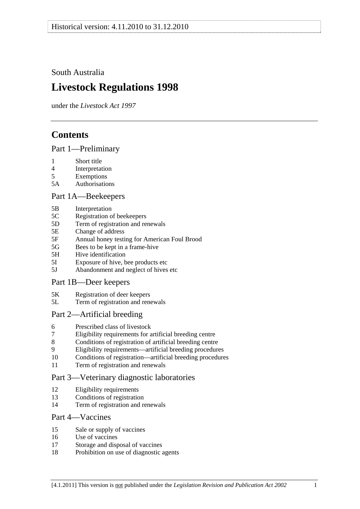<span id="page-0-0"></span>South Australia

# **Livestock Regulations 1998**

under the *Livestock Act 1997*

# **Contents**

[Part 1—Preliminary](#page-3-0)

- [1 Short title](#page-3-0)
- [4 Interpretation](#page-3-0)
- [5 Exemptions](#page-5-0)
- [5A Authorisations](#page-5-0)

## [Part 1A—Beekeepers](#page-5-0)

- [5B Interpretation](#page-5-0)
- [5C Registration of beekeepers](#page-5-0)
- [5D Term of registration and renewals](#page-6-0)
- [5E Change of address](#page-6-0)
- [5F Annual honey testing for American Foul Brood](#page-6-0)
- [5G Bees to be kept in a frame-hive](#page-7-0)
- [5H Hive identification](#page-8-0)
- [5I Exposure of hive, bee products etc](#page-8-0)
- [5J Abandonment and neglect of hives etc](#page-8-0)

## [Part 1B—Deer keepers](#page-9-0)

- [5K Registration of deer keepers](#page-9-0)
- [5L Term of registration and renewals](#page-9-0)

## [Part 2—Artificial breeding](#page-10-0)

- [6 Prescribed class of livestock](#page-10-0)
- [7 Eligibility requirements for artificial breeding centre](#page-10-0)
- [8 Conditions of registration of artificial breeding centre](#page-10-0)
- [9 Eligibility requirements—artificial breeding procedures](#page-11-0)
- [10 Conditions of registration—artificial breeding procedures](#page-11-0)
- [11 Term of registration and renewals](#page-12-0)

## [Part 3—Veterinary diagnostic laboratories](#page-12-0)

- [12 Eligibility requirements](#page-12-0)
- [13 Conditions of registration](#page-12-0)
- [14 Term of registration and renewals](#page-13-0)

## [Part 4—Vaccines](#page-13-0)

- [15 Sale or supply of vaccines](#page-13-0)
- [16 Use of vaccines](#page-14-0)
- [17 Storage and disposal of vaccines](#page-14-0)
- [18 Prohibition on use of diagnostic agents](#page-14-0)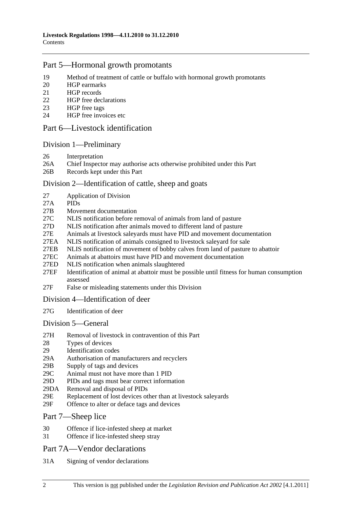## [Part 5—Hormonal growth promotants](#page-14-0)

- [19 Method of treatment of cattle or buffalo with hormonal growth promotants](#page-14-0)
- [20 HGP earmarks](#page-14-0)
- [21 HGP records](#page-15-0)
- [22 HGP free declarations](#page-16-0)
- [23 HGP free tags](#page-16-0)
- [24 HGP free invoices etc](#page-17-0)

## [Part 6—Livestock identification](#page-18-0)

## [Division 1—Preliminary](#page-18-0)

- [26 Interpretation](#page-18-0)
- [26A Chief Inspector may authorise acts otherwise prohibited under this Part](#page-20-0)
- [26B Records kept under this Part](#page-20-0)

## [Division 2—Identification of cattle, sheep and goats](#page-20-0)

- [27 Application of Division](#page-20-0)
- [27A PIDs](#page-21-0)
- [27B Movement documentation](#page-21-0)
- [27C NLIS notification before removal of animals from land of pasture](#page-23-0)
- [27D NLIS notification after animals moved to different land of pasture](#page-24-0)
- [27E Animals at livestock saleyards must have PID and movement documentation](#page-26-0)
- [27EA NLIS notification of animals consigned to livestock saleyard for sale](#page-27-0)
- [27EB NLIS notification of movement of bobby calves from land of pasture to abattoir](#page-30-0)
- [27EC Animals at abattoirs must have PID and movement documentation](#page-30-0)
- [27ED NLIS notification when animals slaughtered](#page-31-0)
- [27EF Identification of animal at abattoir must be possible until fitness for human consumption](#page-32-0)  [assessed](#page-32-0)
- [27F False or misleading statements under this Division](#page-32-0)

#### [Division 4—Identification of deer](#page-32-0)

[27G Identification of deer](#page-32-0) 

#### [Division 5—General](#page-33-0)

- [27H Removal of livestock in contravention of this Part](#page-33-0)
- [28 Types of devices](#page-33-0)
- [29 Identification codes](#page-33-0)
- [29A Authorisation of manufacturers and recyclers](#page-34-0)
- [29B Supply of tags and devices](#page-34-0)
- [29C Animal must not have more than 1 PID](#page-34-0)
- [29D PIDs and tags must bear correct information](#page-35-0)
- [29DA Removal and disposal of PIDs](#page-35-0)
- [29E Replacement of lost devices other than at livestock saleyards](#page-36-0)
- [29F Offence to alter or deface tags and devices](#page-36-0)
- [Part 7—Sheep lice](#page-36-0)
- [30 Offence if lice-infested sheep at market](#page-36-0)
- [31 Offence if lice-infested sheep stray](#page-37-0)

## [Part 7A—Vendor declarations](#page-37-0)

[31A Signing of vendor declarations](#page-37-0)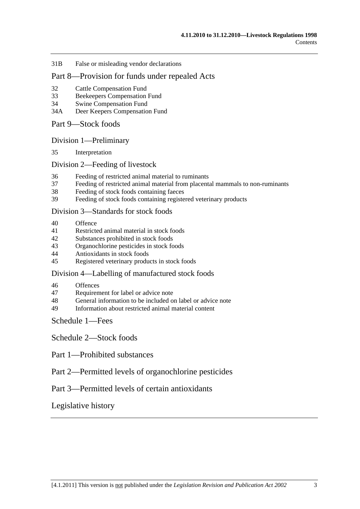[31B False or misleading vendor declarations](#page-37-0)

## [Part 8—Provision for funds under repealed Acts](#page-37-0)

- [32 Cattle Compensation Fund](#page-37-0)
- [33 Beekeepers Compensation Fund](#page-38-0)
- [34 Swine Compensation Fund](#page-38-0)
- [34A Deer Keepers Compensation Fund](#page-38-0)
- [Part 9—Stock foods](#page-38-0)

[Division 1—Preliminary](#page-38-0)

[35 Interpretation](#page-38-0) 

#### [Division 2—Feeding of livestock](#page-39-0)

- [36 Feeding of restricted animal material to ruminants](#page-39-0)
- [37 Feeding of restricted animal material from placental mammals to non-ruminants](#page-39-0)
- [38 Feeding of stock foods containing faeces](#page-39-0)
- [39 Feeding of stock foods containing registered veterinary products](#page-39-0)

#### [Division 3—Standards for stock foods](#page-40-0)

- [40 Offence](#page-40-0)
- [41 Restricted animal material in stock foods](#page-40-0)
- [42 Substances prohibited in stock foods](#page-40-0)
- [43 Organochlorine pesticides in stock foods](#page-40-0)
- [44 Antioxidants in stock foods](#page-40-0)
- [45 Registered veterinary products in stock foods](#page-40-0)

#### [Division 4—Labelling of manufactured stock foods](#page-41-0)

- [46 Offences](#page-41-0)
- [47 Requirement for label or advice note](#page-41-0)
- [48 General information to be included on label or advice note](#page-41-0)<br>49 Information about restricted animal material content
- Information about restricted animal material content

[Schedule 1—Fees](#page-42-0) 

[Schedule 2—Stock foods](#page-43-0)

- [Part 1—Prohibited substances](#page-0-0)
- [Part 2—Permitted levels of organochlorine pesticides](#page-0-0)

## [Part 3—Permitted levels of certain antioxidants](#page-0-0)

#### [Legislative history](#page-45-0)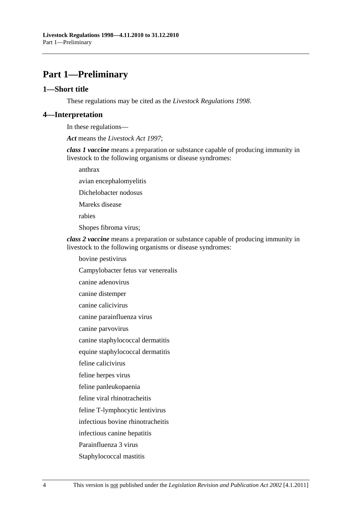# <span id="page-3-0"></span>**Part 1—Preliminary**

#### **1—Short title**

These regulations may be cited as the *Livestock Regulations 1998*.

## **4—Interpretation**

In these regulations—

*Act* means the *[Livestock Act 1997](http://www.legislation.sa.gov.au/index.aspx?action=legref&type=act&legtitle=Livestock%20Act%201997)*;

*class 1 vaccine* means a preparation or substance capable of producing immunity in livestock to the following organisms or disease syndromes:

anthrax

avian encephalomyelitis

Dichelobacter nodosus

Mareks disease

rabies

Shopes fibroma virus;

*class 2 vaccine* means a preparation or substance capable of producing immunity in livestock to the following organisms or disease syndromes:

bovine pestivirus

Campylobacter fetus var venerealis

canine adenovirus

canine distemper

canine calicivirus

canine parainfluenza virus

canine parvovirus

canine staphylococcal dermatitis

equine staphylococcal dermatitis

feline calicivirus

feline herpes virus

feline panleukopaenia

feline viral rhinotracheitis

feline T-lymphocytic lentivirus

infectious bovine rhinotracheitis

infectious canine hepatitis

Parainfluenza 3 virus

Staphylococcal mastitis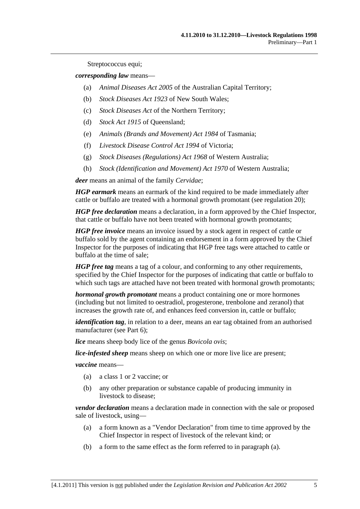Streptococcus equi;

<span id="page-4-0"></span>*corresponding law* means—

- (a) *Animal Diseases Act 2005* of the Australian Capital Territory;
- (b) *Stock Diseases Act 1923* of New South Wales;
- (c) *Stock Diseases Act* of the Northern Territory;
- (d) *Stock Act 1915* of Queensland;
- (e) *Animals (Brands and Movement) Act 1984* of Tasmania;
- (f) *Livestock Disease Control Act 1994* of Victoria;
- (g) *Stock Diseases (Regulations) Act 1968* of Western Australia;
- (h) *Stock (Identification and Movement) Act 1970* of Western Australia;

*deer* means an animal of the family *Cervidae*;

*HGP earmark* means an earmark of the kind required to be made immediately after cattle or buffalo are treated with a hormonal growth promotant (see [regulation 20](#page-14-0));

*HGP free declaration* means a declaration, in a form approved by the Chief Inspector, that cattle or buffalo have not been treated with hormonal growth promotants;

*HGP free invoice* means an invoice issued by a stock agent in respect of cattle or buffalo sold by the agent containing an endorsement in a form approved by the Chief Inspector for the purposes of indicating that HGP free tags were attached to cattle or buffalo at the time of sale;

*HGP free tag* means a tag of a colour, and conforming to any other requirements, specified by the Chief Inspector for the purposes of indicating that cattle or buffalo to which such tags are attached have not been treated with hormonal growth promotants;

*hormonal growth promotant* means a product containing one or more hormones (including but not limited to oestradiol, progesterone, trenbolone and zeranol) that increases the growth rate of, and enhances feed conversion in, cattle or buffalo;

*identification tag*, in relation to a deer, means an ear tag obtained from an authorised manufacturer (see [Part 6\)](#page-18-0);

*lice* means sheep body lice of the genus *Bovicola ovis*;

*lice-infested sheep* means sheep on which one or more live lice are present;

*vaccine* means—

- (a) a class 1 or 2 vaccine; or
- (b) any other preparation or substance capable of producing immunity in livestock to disease;

*vendor declaration* means a declaration made in connection with the sale or proposed sale of livestock, using—

- (a) a form known as a "Vendor Declaration" from time to time approved by the Chief Inspector in respect of livestock of the relevant kind; or
- (b) a form to the same effect as the form referred to in [paragraph \(a\)](#page-4-0).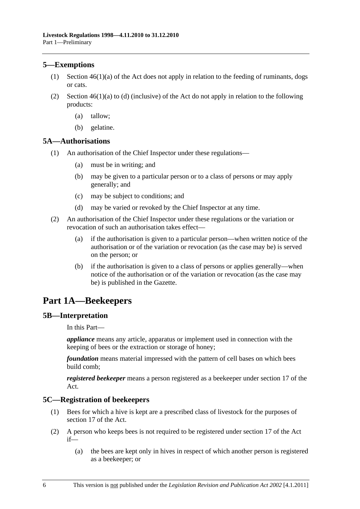## <span id="page-5-0"></span>**5—Exemptions**

- (1) Section 46(1)(a) of the Act does not apply in relation to the feeding of ruminants, dogs or cats.
- (2) Section  $46(1)(a)$  to (d) (inclusive) of the Act do not apply in relation to the following products:
	- (a) tallow;
	- (b) gelatine.

## **5A—Authorisations**

- (1) An authorisation of the Chief Inspector under these regulations—
	- (a) must be in writing; and
	- (b) may be given to a particular person or to a class of persons or may apply generally; and
	- (c) may be subject to conditions; and
	- (d) may be varied or revoked by the Chief Inspector at any time.
- (2) An authorisation of the Chief Inspector under these regulations or the variation or revocation of such an authorisation takes effect—
	- (a) if the authorisation is given to a particular person—when written notice of the authorisation or of the variation or revocation (as the case may be) is served on the person; or
	- (b) if the authorisation is given to a class of persons or applies generally—when notice of the authorisation or of the variation or revocation (as the case may be) is published in the Gazette.

## **Part 1A—Beekeepers**

#### **5B—Interpretation**

In this Part—

*appliance* means any article, apparatus or implement used in connection with the keeping of bees or the extraction or storage of honey;

*foundation* means material impressed with the pattern of cell bases on which bees build comb;

*registered beekeeper* means a person registered as a beekeeper under section 17 of the Act.

## **5C—Registration of beekeepers**

- (1) Bees for which a hive is kept are a prescribed class of livestock for the purposes of section 17 of the Act.
- (2) A person who keeps bees is not required to be registered under section 17 of the Act if—
	- (a) the bees are kept only in hives in respect of which another person is registered as a beekeeper; or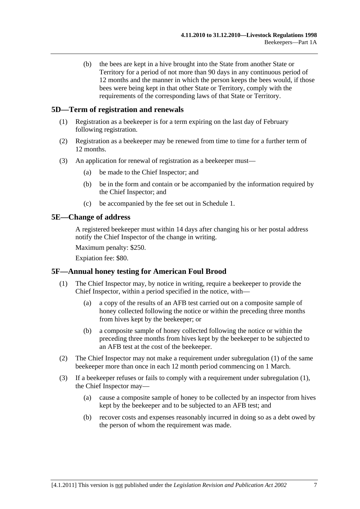<span id="page-6-0"></span> (b) the bees are kept in a hive brought into the State from another State or Territory for a period of not more than 90 days in any continuous period of 12 months and the manner in which the person keeps the bees would, if those bees were being kept in that other State or Territory, comply with the requirements of the corresponding laws of that State or Territory.

## **5D—Term of registration and renewals**

- (1) Registration as a beekeeper is for a term expiring on the last day of February following registration.
- (2) Registration as a beekeeper may be renewed from time to time for a further term of 12 months.
- (3) An application for renewal of registration as a beekeeper must—
	- (a) be made to the Chief Inspector; and
	- (b) be in the form and contain or be accompanied by the information required by the Chief Inspector; and
	- (c) be accompanied by the fee set out in [Schedule 1.](#page-42-0)

## **5E—Change of address**

A registered beekeeper must within 14 days after changing his or her postal address notify the Chief Inspector of the change in writing.

Maximum penalty: \$250.

Expiation fee: \$80.

#### **5F—Annual honey testing for American Foul Brood**

- (1) The Chief Inspector may, by notice in writing, require a beekeeper to provide the Chief Inspector, within a period specified in the notice, with—
	- (a) a copy of the results of an AFB test carried out on a composite sample of honey collected following the notice or within the preceding three months from hives kept by the beekeeper; or
	- (b) a composite sample of honey collected following the notice or within the preceding three months from hives kept by the beekeeper to be subjected to an AFB test at the cost of the beekeeper.
- (2) The Chief Inspector may not make a requirement under [subregulation \(1\)](#page-6-0) of the same beekeeper more than once in each 12 month period commencing on 1 March.
- (3) If a beekeeper refuses or fails to comply with a requirement under [subregulation \(1\)](#page-6-0), the Chief Inspector may—
	- (a) cause a composite sample of honey to be collected by an inspector from hives kept by the beekeeper and to be subjected to an AFB test; and
	- (b) recover costs and expenses reasonably incurred in doing so as a debt owed by the person of whom the requirement was made.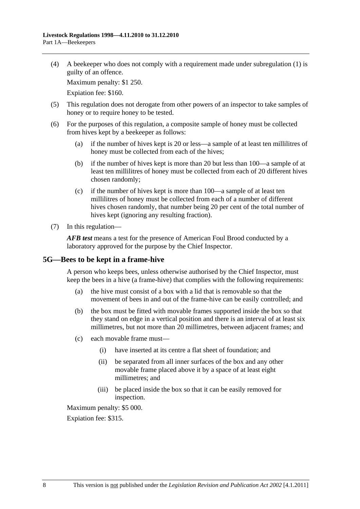<span id="page-7-0"></span> (4) A beekeeper who does not comply with a requirement made under [subregulation \(1\)](#page-6-0) is guilty of an offence.

Maximum penalty: \$1 250.

Expiation fee: \$160.

- (5) This regulation does not derogate from other powers of an inspector to take samples of honey or to require honey to be tested.
- (6) For the purposes of this regulation, a composite sample of honey must be collected from hives kept by a beekeeper as follows:
	- (a) if the number of hives kept is 20 or less—a sample of at least ten millilitres of honey must be collected from each of the hives;
	- (b) if the number of hives kept is more than 20 but less than 100—a sample of at least ten millilitres of honey must be collected from each of 20 different hives chosen randomly;
	- (c) if the number of hives kept is more than 100—a sample of at least ten millilitres of honey must be collected from each of a number of different hives chosen randomly, that number being 20 per cent of the total number of hives kept (ignoring any resulting fraction).
- (7) In this regulation—

*AFB test* means a test for the presence of American Foul Brood conducted by a laboratory approved for the purpose by the Chief Inspector.

## **5G—Bees to be kept in a frame-hive**

A person who keeps bees, unless otherwise authorised by the Chief Inspector, must keep the bees in a hive (a frame-hive) that complies with the following requirements:

- (a) the hive must consist of a box with a lid that is removable so that the movement of bees in and out of the frame-hive can be easily controlled; and
- (b) the box must be fitted with movable frames supported inside the box so that they stand on edge in a vertical position and there is an interval of at least six millimetres, but not more than 20 millimetres, between adjacent frames; and
- (c) each movable frame must—
	- (i) have inserted at its centre a flat sheet of foundation; and
	- (ii) be separated from all inner surfaces of the box and any other movable frame placed above it by a space of at least eight millimetres; and
	- (iii) be placed inside the box so that it can be easily removed for inspection.

Maximum penalty: \$5 000.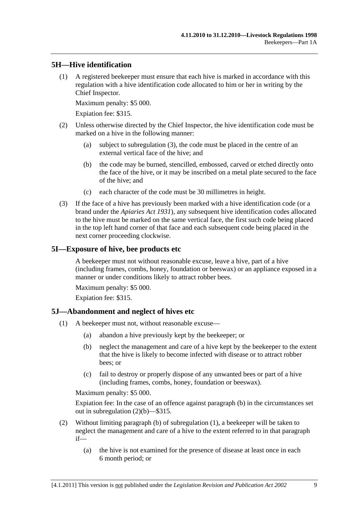## <span id="page-8-0"></span>**5H—Hive identification**

 (1) A registered beekeeper must ensure that each hive is marked in accordance with this regulation with a hive identification code allocated to him or her in writing by the Chief Inspector.

Maximum penalty: \$5 000.

Expiation fee: \$315.

- (2) Unless otherwise directed by the Chief Inspector, the hive identification code must be marked on a hive in the following manner:
	- (a) subject to [subregulation \(3\),](#page-8-0) the code must be placed in the centre of an external vertical face of the hive; and
	- (b) the code may be burned, stencilled, embossed, carved or etched directly onto the face of the hive, or it may be inscribed on a metal plate secured to the face of the hive; and
	- (c) each character of the code must be 30 millimetres in height.
- (3) If the face of a hive has previously been marked with a hive identification code (or a brand under the *[Apiaries Act 1931](http://www.legislation.sa.gov.au/index.aspx?action=legref&type=act&legtitle=Apiaries%20Act%201931)*), any subsequent hive identification codes allocated to the hive must be marked on the same vertical face, the first such code being placed in the top left hand corner of that face and each subsequent code being placed in the next corner proceeding clockwise.

## **5I—Exposure of hive, bee products etc**

A beekeeper must not without reasonable excuse, leave a hive, part of a hive (including frames, combs, honey, foundation or beeswax) or an appliance exposed in a manner or under conditions likely to attract robber bees.

Maximum penalty: \$5 000.

Expiation fee: \$315.

## **5J—Abandonment and neglect of hives etc**

- (1) A beekeeper must not, without reasonable excuse—
	- (a) abandon a hive previously kept by the beekeeper; or
	- (b) neglect the management and care of a hive kept by the beekeeper to the extent that the hive is likely to become infected with disease or to attract robber bees; or
	- (c) fail to destroy or properly dispose of any unwanted bees or part of a hive (including frames, combs, honey, foundation or beeswax).

Maximum penalty: \$5 000.

Expiation fee: In the case of an offence against [paragraph \(b\)](#page-8-0) in the circumstances set out in [subregulation \(2\)\(b\)—](#page-9-0)\$315.

- (2) Without limiting [paragraph \(b\)](#page-8-0) of [subregulation \(1\)](#page-8-0), a beekeeper will be taken to neglect the management and care of a hive to the extent referred to in that paragraph if—
	- (a) the hive is not examined for the presence of disease at least once in each 6 month period; or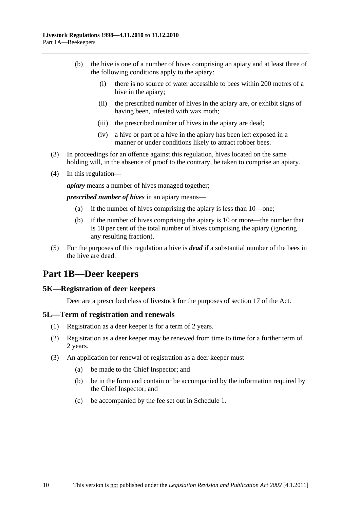- <span id="page-9-0"></span> (b) the hive is one of a number of hives comprising an apiary and at least three of the following conditions apply to the apiary:
	- (i) there is no source of water accessible to bees within 200 metres of a hive in the apiary;
	- (ii) the prescribed number of hives in the apiary are, or exhibit signs of having been, infested with wax moth;
	- (iii) the prescribed number of hives in the apiary are dead;
	- (iv) a hive or part of a hive in the apiary has been left exposed in a manner or under conditions likely to attract robber bees.
- (3) In proceedings for an offence against this regulation, hives located on the same holding will, in the absence of proof to the contrary, be taken to comprise an apiary.
- (4) In this regulation—

*apiary* means a number of hives managed together;

*prescribed number of hives* in an apiary means—

- (a) if the number of hives comprising the apiary is less than 10—one;
- (b) if the number of hives comprising the apiary is 10 or more—the number that is 10 per cent of the total number of hives comprising the apiary (ignoring any resulting fraction).
- (5) For the purposes of this regulation a hive is *dead* if a substantial number of the bees in the hive are dead.

# **Part 1B—Deer keepers**

## **5K—Registration of deer keepers**

Deer are a prescribed class of livestock for the purposes of section 17 of the Act.

## **5L—Term of registration and renewals**

- (1) Registration as a deer keeper is for a term of 2 years.
- (2) Registration as a deer keeper may be renewed from time to time for a further term of 2 years.
- (3) An application for renewal of registration as a deer keeper must—
	- (a) be made to the Chief Inspector; and
	- (b) be in the form and contain or be accompanied by the information required by the Chief Inspector; and
	- (c) be accompanied by the fee set out in [Schedule 1.](#page-42-0)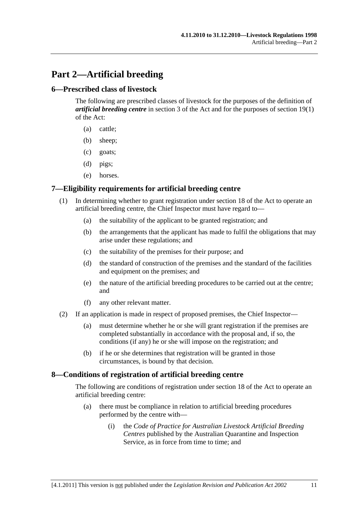# <span id="page-10-0"></span>**Part 2—Artificial breeding**

## **6—Prescribed class of livestock**

The following are prescribed classes of livestock for the purposes of the definition of *artificial breeding centre* in section 3 of the Act and for the purposes of section 19(1) of the Act:

- (a) cattle;
- (b) sheep;
- (c) goats;
- (d) pigs;
- (e) horses.

## **7—Eligibility requirements for artificial breeding centre**

- (1) In determining whether to grant registration under section 18 of the Act to operate an artificial breeding centre, the Chief Inspector must have regard to—
	- (a) the suitability of the applicant to be granted registration; and
	- (b) the arrangements that the applicant has made to fulfil the obligations that may arise under these regulations; and
	- (c) the suitability of the premises for their purpose; and
	- (d) the standard of construction of the premises and the standard of the facilities and equipment on the premises; and
	- (e) the nature of the artificial breeding procedures to be carried out at the centre; and
	- (f) any other relevant matter.
- (2) If an application is made in respect of proposed premises, the Chief Inspector—
	- (a) must determine whether he or she will grant registration if the premises are completed substantially in accordance with the proposal and, if so, the conditions (if any) he or she will impose on the registration; and
	- (b) if he or she determines that registration will be granted in those circumstances, is bound by that decision.

#### **8—Conditions of registration of artificial breeding centre**

The following are conditions of registration under section 18 of the Act to operate an artificial breeding centre:

- (a) there must be compliance in relation to artificial breeding procedures performed by the centre with—
	- (i) the *Code of Practice for Australian Livestock Artificial Breeding Centres* published by the Australian Quarantine and Inspection Service, as in force from time to time; and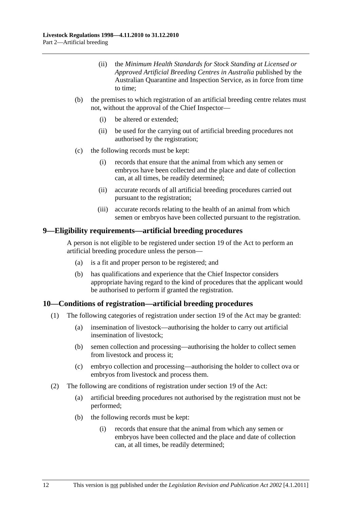- <span id="page-11-0"></span> (ii) the *Minimum Health Standards for Stock Standing at Licensed or Approved Artificial Breeding Centres in Australia* published by the Australian Quarantine and Inspection Service, as in force from time to time;
- (b) the premises to which registration of an artificial breeding centre relates must not, without the approval of the Chief Inspector—
	- (i) be altered or extended;
	- (ii) be used for the carrying out of artificial breeding procedures not authorised by the registration;
- (c) the following records must be kept:
	- (i) records that ensure that the animal from which any semen or embryos have been collected and the place and date of collection can, at all times, be readily determined;
	- (ii) accurate records of all artificial breeding procedures carried out pursuant to the registration;
	- (iii) accurate records relating to the health of an animal from which semen or embryos have been collected pursuant to the registration.

#### **9—Eligibility requirements—artificial breeding procedures**

A person is not eligible to be registered under section 19 of the Act to perform an artificial breeding procedure unless the person—

- (a) is a fit and proper person to be registered; and
- (b) has qualifications and experience that the Chief Inspector considers appropriate having regard to the kind of procedures that the applicant would be authorised to perform if granted the registration.

## **10—Conditions of registration—artificial breeding procedures**

- (1) The following categories of registration under section 19 of the Act may be granted:
	- (a) insemination of livestock—authorising the holder to carry out artificial insemination of livestock;
	- (b) semen collection and processing—authorising the holder to collect semen from livestock and process it;
	- (c) embryo collection and processing—authorising the holder to collect ova or embryos from livestock and process them.
- (2) The following are conditions of registration under section 19 of the Act:
	- (a) artificial breeding procedures not authorised by the registration must not be performed;
	- (b) the following records must be kept:
		- (i) records that ensure that the animal from which any semen or embryos have been collected and the place and date of collection can, at all times, be readily determined;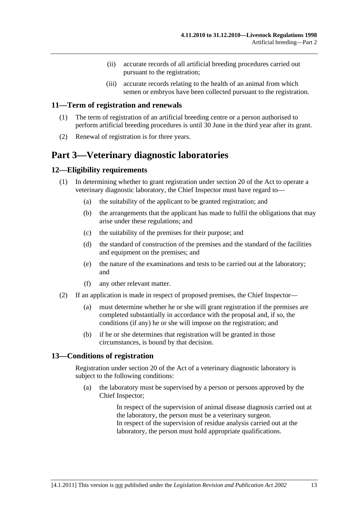- (ii) accurate records of all artificial breeding procedures carried out pursuant to the registration;
- (iii) accurate records relating to the health of an animal from which semen or embryos have been collected pursuant to the registration.

#### <span id="page-12-0"></span>**11—Term of registration and renewals**

- (1) The term of registration of an artificial breeding centre or a person authorised to perform artificial breeding procedures is until 30 June in the third year after its grant.
- (2) Renewal of registration is for three years.

# **Part 3—Veterinary diagnostic laboratories**

## **12—Eligibility requirements**

- (1) In determining whether to grant registration under section 20 of the Act to operate a veterinary diagnostic laboratory, the Chief Inspector must have regard to—
	- (a) the suitability of the applicant to be granted registration; and
	- (b) the arrangements that the applicant has made to fulfil the obligations that may arise under these regulations; and
	- (c) the suitability of the premises for their purpose; and
	- (d) the standard of construction of the premises and the standard of the facilities and equipment on the premises; and
	- (e) the nature of the examinations and tests to be carried out at the laboratory; and
	- (f) any other relevant matter.
- (2) If an application is made in respect of proposed premises, the Chief Inspector—
	- (a) must determine whether he or she will grant registration if the premises are completed substantially in accordance with the proposal and, if so, the conditions (if any) he or she will impose on the registration; and
	- (b) if he or she determines that registration will be granted in those circumstances, is bound by that decision.

## **13—Conditions of registration**

Registration under section 20 of the Act of a veterinary diagnostic laboratory is subject to the following conditions:

 (a) the laboratory must be supervised by a person or persons approved by the Chief Inspector;

> In respect of the supervision of animal disease diagnosis carried out at the laboratory, the person must be a veterinary surgeon. In respect of the supervision of residue analysis carried out at the laboratory, the person must hold appropriate qualifications.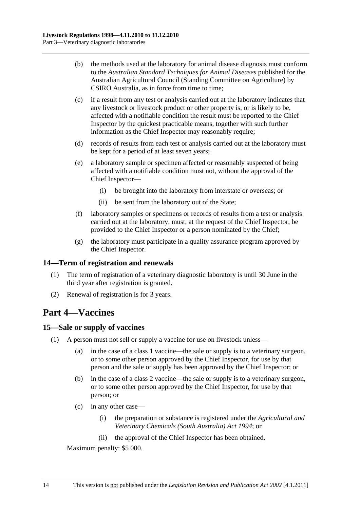- <span id="page-13-0"></span> (b) the methods used at the laboratory for animal disease diagnosis must conform to the *Australian Standard Techniques for Animal Diseases* published for the Australian Agricultural Council (Standing Committee on Agriculture) by CSIRO Australia, as in force from time to time;
- (c) if a result from any test or analysis carried out at the laboratory indicates that any livestock or livestock product or other property is, or is likely to be, affected with a notifiable condition the result must be reported to the Chief Inspector by the quickest practicable means, together with such further information as the Chief Inspector may reasonably require;
- (d) records of results from each test or analysis carried out at the laboratory must be kept for a period of at least seven years;
- (e) a laboratory sample or specimen affected or reasonably suspected of being affected with a notifiable condition must not, without the approval of the Chief Inspector—
	- (i) be brought into the laboratory from interstate or overseas; or
	- (ii) be sent from the laboratory out of the State;
- (f) laboratory samples or specimens or records of results from a test or analysis carried out at the laboratory, must, at the request of the Chief Inspector, be provided to the Chief Inspector or a person nominated by the Chief;
- (g) the laboratory must participate in a quality assurance program approved by the Chief Inspector.

## **14—Term of registration and renewals**

- (1) The term of registration of a veterinary diagnostic laboratory is until 30 June in the third year after registration is granted.
- (2) Renewal of registration is for 3 years.

## **Part 4—Vaccines**

#### **15—Sale or supply of vaccines**

- (1) A person must not sell or supply a vaccine for use on livestock unless—
	- (a) in the case of a class 1 vaccine—the sale or supply is to a veterinary surgeon, or to some other person approved by the Chief Inspector, for use by that person and the sale or supply has been approved by the Chief Inspector; or
	- (b) in the case of a class 2 vaccine—the sale or supply is to a veterinary surgeon, or to some other person approved by the Chief Inspector, for use by that person; or
	- (c) in any other case—
		- (i) the preparation or substance is registered under the *[Agricultural and](http://www.legislation.sa.gov.au/index.aspx?action=legref&type=act&legtitle=Agricultural%20and%20Veterinary%20Chemicals%20(South%20Australia)%20Act%201994)  [Veterinary Chemicals \(South Australia\) Act 1994](http://www.legislation.sa.gov.au/index.aspx?action=legref&type=act&legtitle=Agricultural%20and%20Veterinary%20Chemicals%20(South%20Australia)%20Act%201994)*; or
		- (ii) the approval of the Chief Inspector has been obtained.

Maximum penalty: \$5 000.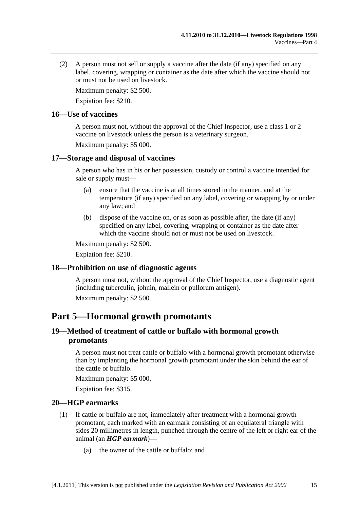<span id="page-14-0"></span> (2) A person must not sell or supply a vaccine after the date (if any) specified on any label, covering, wrapping or container as the date after which the vaccine should not or must not be used on livestock.

Maximum penalty: \$2 500.

Expiation fee: \$210.

## **16—Use of vaccines**

A person must not, without the approval of the Chief Inspector, use a class 1 or 2 vaccine on livestock unless the person is a veterinary surgeon.

Maximum penalty: \$5 000.

## **17—Storage and disposal of vaccines**

A person who has in his or her possession, custody or control a vaccine intended for sale or supply must—

- (a) ensure that the vaccine is at all times stored in the manner, and at the temperature (if any) specified on any label, covering or wrapping by or under any law; and
- (b) dispose of the vaccine on, or as soon as possible after, the date (if any) specified on any label, covering, wrapping or container as the date after which the vaccine should not or must not be used on livestock.

Maximum penalty: \$2 500.

Expiation fee: \$210.

## **18—Prohibition on use of diagnostic agents**

A person must not, without the approval of the Chief Inspector, use a diagnostic agent (including tuberculin, johnin, mallein or pullorum antigen).

Maximum penalty: \$2 500.

## **Part 5—Hormonal growth promotants**

## **19—Method of treatment of cattle or buffalo with hormonal growth promotants**

A person must not treat cattle or buffalo with a hormonal growth promotant otherwise than by implanting the hormonal growth promotant under the skin behind the ear of the cattle or buffalo.

Maximum penalty: \$5 000.

Expiation fee: \$315.

## **20—HGP earmarks**

- (1) If cattle or buffalo are not, immediately after treatment with a hormonal growth promotant, each marked with an earmark consisting of an equilateral triangle with sides 20 millimetres in length, punched through the centre of the left or right ear of the animal (an *HGP earmark*)—
	- (a) the owner of the cattle or buffalo; and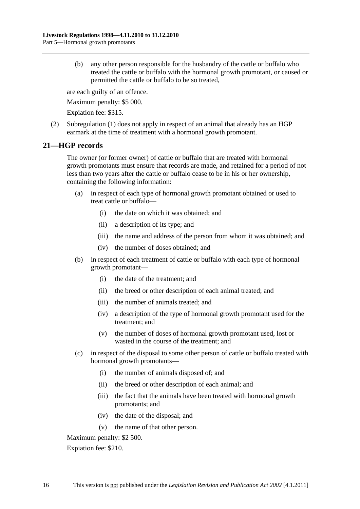<span id="page-15-0"></span> (b) any other person responsible for the husbandry of the cattle or buffalo who treated the cattle or buffalo with the hormonal growth promotant, or caused or permitted the cattle or buffalo to be so treated,

are each guilty of an offence.

Maximum penalty: \$5 000.

Expiation fee: \$315.

 (2) [Subregulation \(1\)](#page-14-0) does not apply in respect of an animal that already has an HGP earmark at the time of treatment with a hormonal growth promotant.

## **21—HGP records**

The owner (or former owner) of cattle or buffalo that are treated with hormonal growth promotants must ensure that records are made, and retained for a period of not less than two years after the cattle or buffalo cease to be in his or her ownership, containing the following information:

- (a) in respect of each type of hormonal growth promotant obtained or used to treat cattle or buffalo—
	- (i) the date on which it was obtained; and
	- (ii) a description of its type; and
	- (iii) the name and address of the person from whom it was obtained; and
	- (iv) the number of doses obtained; and
- (b) in respect of each treatment of cattle or buffalo with each type of hormonal growth promotant—
	- (i) the date of the treatment; and
	- (ii) the breed or other description of each animal treated; and
	- (iii) the number of animals treated; and
	- (iv) a description of the type of hormonal growth promotant used for the treatment; and
	- (v) the number of doses of hormonal growth promotant used, lost or wasted in the course of the treatment; and
- (c) in respect of the disposal to some other person of cattle or buffalo treated with hormonal growth promotants—
	- (i) the number of animals disposed of; and
	- (ii) the breed or other description of each animal; and
	- (iii) the fact that the animals have been treated with hormonal growth promotants; and
	- (iv) the date of the disposal; and
	- (v) the name of that other person.

Maximum penalty: \$2 500.

Expiation fee: \$210.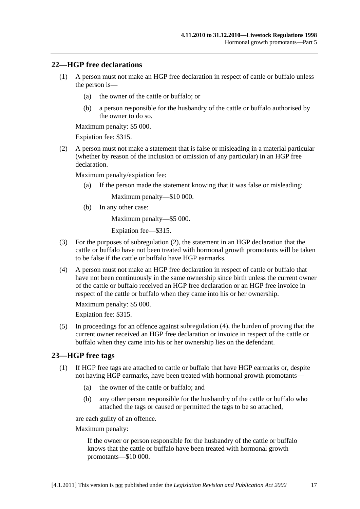## <span id="page-16-0"></span>**22—HGP free declarations**

- (1) A person must not make an HGP free declaration in respect of cattle or buffalo unless the person is—
	- (a) the owner of the cattle or buffalo; or
	- (b) a person responsible for the husbandry of the cattle or buffalo authorised by the owner to do so.

Maximum penalty: \$5 000.

Expiation fee: \$315.

 (2) A person must not make a statement that is false or misleading in a material particular (whether by reason of the inclusion or omission of any particular) in an HGP free declaration.

Maximum penalty/expiation fee:

(a) If the person made the statement knowing that it was false or misleading:

Maximum penalty—\$10 000.

(b) In any other case:

Maximum penalty—\$5 000.

Expiation fee—\$315.

- (3) For the purposes of [subregulation \(2\),](#page-16-0) the statement in an HGP declaration that the cattle or buffalo have not been treated with hormonal growth promotants will be taken to be false if the cattle or buffalo have HGP earmarks.
- (4) A person must not make an HGP free declaration in respect of cattle or buffalo that have not been continuously in the same ownership since birth unless the current owner of the cattle or buffalo received an HGP free declaration or an HGP free invoice in respect of the cattle or buffalo when they came into his or her ownership.

Maximum penalty: \$5 000.

Expiation fee: \$315.

 (5) In proceedings for an offence against [subregulation \(4\)](#page-16-0), the burden of proving that the current owner received an HGP free declaration or invoice in respect of the cattle or buffalo when they came into his or her ownership lies on the defendant.

## **23—HGP free tags**

- (1) If HGP free tags are attached to cattle or buffalo that have HGP earmarks or, despite not having HGP earmarks, have been treated with hormonal growth promotants—
	- (a) the owner of the cattle or buffalo; and
	- (b) any other person responsible for the husbandry of the cattle or buffalo who attached the tags or caused or permitted the tags to be so attached,

are each guilty of an offence.

Maximum penalty:

If the owner or person responsible for the husbandry of the cattle or buffalo knows that the cattle or buffalo have been treated with hormonal growth promotants—\$10 000.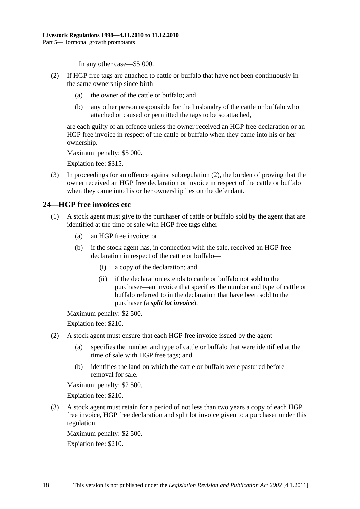In any other case—\$5 000.

- <span id="page-17-0"></span> (2) If HGP free tags are attached to cattle or buffalo that have not been continuously in the same ownership since birth—
	- (a) the owner of the cattle or buffalo; and
	- (b) any other person responsible for the husbandry of the cattle or buffalo who attached or caused or permitted the tags to be so attached,

are each guilty of an offence unless the owner received an HGP free declaration or an HGP free invoice in respect of the cattle or buffalo when they came into his or her ownership.

Maximum penalty: \$5 000.

Expiation fee: \$315.

 (3) In proceedings for an offence against [subregulation \(2\)](#page-17-0), the burden of proving that the owner received an HGP free declaration or invoice in respect of the cattle or buffalo when they came into his or her ownership lies on the defendant.

## **24—HGP free invoices etc**

- (1) A stock agent must give to the purchaser of cattle or buffalo sold by the agent that are identified at the time of sale with HGP free tags either—
	- (a) an HGP free invoice; or
	- (b) if the stock agent has, in connection with the sale, received an HGP free declaration in respect of the cattle or buffalo—
		- (i) a copy of the declaration; and
		- (ii) if the declaration extends to cattle or buffalo not sold to the purchaser—an invoice that specifies the number and type of cattle or buffalo referred to in the declaration that have been sold to the purchaser (a *split lot invoice*).

Maximum penalty: \$2 500.

Expiation fee: \$210.

- (2) A stock agent must ensure that each HGP free invoice issued by the agent—
	- (a) specifies the number and type of cattle or buffalo that were identified at the time of sale with HGP free tags; and
	- (b) identifies the land on which the cattle or buffalo were pastured before removal for sale.

Maximum penalty: \$2 500.

Expiation fee: \$210.

 (3) A stock agent must retain for a period of not less than two years a copy of each HGP free invoice, HGP free declaration and split lot invoice given to a purchaser under this regulation.

Maximum penalty: \$2 500.

Expiation fee: \$210.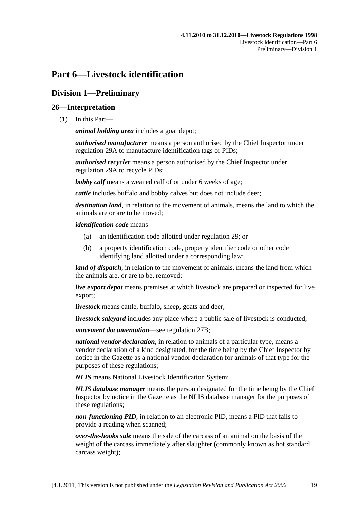# <span id="page-18-0"></span>**Part 6—Livestock identification**

## **Division 1—Preliminary**

## **26—Interpretation**

(1) In this Part—

*animal holding area* includes a goat depot;

*authorised manufacturer* means a person authorised by the Chief Inspector under [regulation 29A](#page-34-0) to manufacture identification tags or PIDs;

*authorised recycler* means a person authorised by the Chief Inspector under [regulation 29A](#page-34-0) to recycle PIDs;

*bobby calf* means a weaned calf of or under 6 weeks of age;

*cattle* includes buffalo and bobby calves but does not include deer;

*destination land*, in relation to the movement of animals, means the land to which the animals are or are to be moved;

*identification code* means—

- (a) an identification code allotted under [regulation 29](#page-33-0); or
- (b) a property identification code, property identifier code or other code identifying land allotted under a corresponding law;

*land of dispatch*, in relation to the movement of animals, means the land from which the animals are, or are to be, removed;

*live export depot* means premises at which livestock are prepared or inspected for live export;

*livestock* means cattle, buffalo, sheep, goats and deer;

*livestock saleyard* includes any place where a public sale of livestock is conducted;

*movement documentation*—see [regulation 27B;](#page-21-0)

*national vendor declaration*, in relation to animals of a particular type, means a vendor declaration of a kind designated, for the time being by the Chief Inspector by notice in the Gazette as a national vendor declaration for animals of that type for the purposes of these regulations;

*NLIS* means National Livestock Identification System;

*NLIS database manager* means the person designated for the time being by the Chief Inspector by notice in the Gazette as the NLIS database manager for the purposes of these regulations;

*non-functioning PID*, in relation to an electronic PID, means a PID that fails to provide a reading when scanned;

*over-the-hooks sale* means the sale of the carcass of an animal on the basis of the weight of the carcass immediately after slaughter (commonly known as hot standard carcass weight);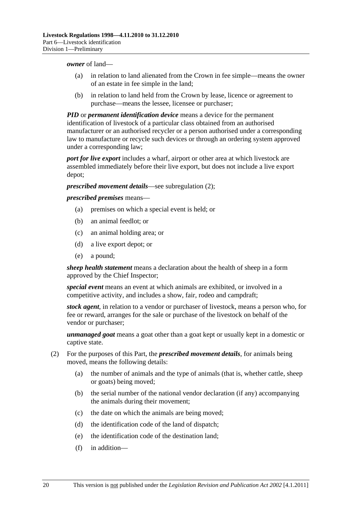#### <span id="page-19-0"></span>*owner* of land—

- (a) in relation to land alienated from the Crown in fee simple—means the owner of an estate in fee simple in the land;
- (b) in relation to land held from the Crown by lease, licence or agreement to purchase—means the lessee, licensee or purchaser;

*PID* or *permanent identification device* means a device for the permanent identification of livestock of a particular class obtained from an authorised manufacturer or an authorised recycler or a person authorised under a corresponding law to manufacture or recycle such devices or through an ordering system approved under a corresponding law;

*port for live export* includes a wharf, airport or other area at which livestock are assembled immediately before their live export, but does not include a live export depot;

*prescribed movement details*—see [subregulation \(2\);](#page-19-0)

*prescribed premises* means—

- (a) premises on which a special event is held; or
- (b) an animal feedlot; or
- (c) an animal holding area; or
- (d) a live export depot; or
- (e) a pound;

*sheep health statement* means a declaration about the health of sheep in a form approved by the Chief Inspector;

*special event* means an event at which animals are exhibited, or involved in a competitive activity, and includes a show, fair, rodeo and campdraft;

*stock agent*, in relation to a vendor or purchaser of livestock, means a person who, for fee or reward, arranges for the sale or purchase of the livestock on behalf of the vendor or purchaser;

*unmanaged goat* means a goat other than a goat kept or usually kept in a domestic or captive state.

- (2) For the purposes of this Part, the *prescribed movement details*, for animals being moved, means the following details:
	- (a) the number of animals and the type of animals (that is, whether cattle, sheep or goats) being moved;
	- (b) the serial number of the national vendor declaration (if any) accompanying the animals during their movement;
	- (c) the date on which the animals are being moved;
	- (d) the identification code of the land of dispatch;
	- (e) the identification code of the destination land;
	- (f) in addition—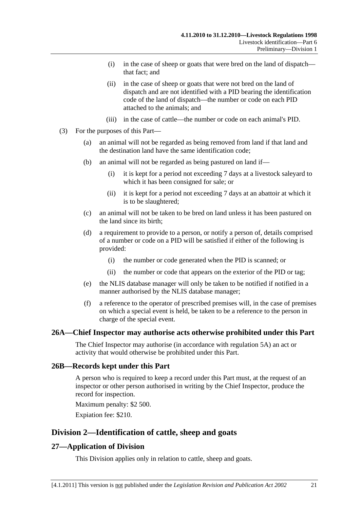- <span id="page-20-0"></span> (i) in the case of sheep or goats that were bred on the land of dispatch that fact; and
- (ii) in the case of sheep or goats that were not bred on the land of dispatch and are not identified with a PID bearing the identification code of the land of dispatch—the number or code on each PID attached to the animals; and
- (iii) in the case of cattle—the number or code on each animal's PID.
- (3) For the purposes of this Part—
	- (a) an animal will not be regarded as being removed from land if that land and the destination land have the same identification code;
	- (b) an animal will not be regarded as being pastured on land if—
		- (i) it is kept for a period not exceeding 7 days at a livestock saleyard to which it has been consigned for sale; or
		- (ii) it is kept for a period not exceeding 7 days at an abattoir at which it is to be slaughtered;
	- (c) an animal will not be taken to be bred on land unless it has been pastured on the land since its birth;
	- (d) a requirement to provide to a person, or notify a person of, details comprised of a number or code on a PID will be satisfied if either of the following is provided:
		- (i) the number or code generated when the PID is scanned; or
		- (ii) the number or code that appears on the exterior of the PID or tag;
	- (e) the NLIS database manager will only be taken to be notified if notified in a manner authorised by the NLIS database manager;
	- (f) a reference to the operator of prescribed premises will, in the case of premises on which a special event is held, be taken to be a reference to the person in charge of the special event.

## **26A—Chief Inspector may authorise acts otherwise prohibited under this Part**

The Chief Inspector may authorise (in accordance with [regulation 5A](#page-5-0)) an act or activity that would otherwise be prohibited under this Part.

#### **26B—Records kept under this Part**

A person who is required to keep a record under this Part must, at the request of an inspector or other person authorised in writing by the Chief Inspector, produce the record for inspection.

Maximum penalty: \$2 500.

Expiation fee: \$210.

## **Division 2—Identification of cattle, sheep and goats**

## **27—Application of Division**

This Division applies only in relation to cattle, sheep and goats.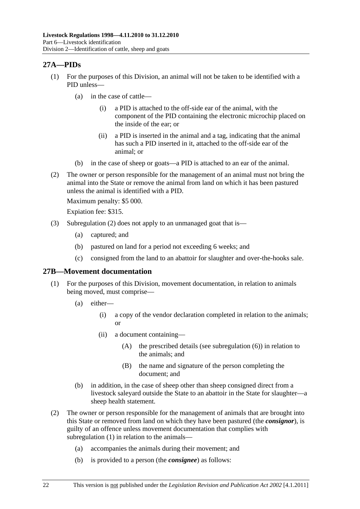## <span id="page-21-0"></span>**27A—PIDs**

- (1) For the purposes of this Division, an animal will not be taken to be identified with a PID unless—
	- (a) in the case of cattle—
		- (i) a PID is attached to the off-side ear of the animal, with the component of the PID containing the electronic microchip placed on the inside of the ear; or
		- (ii) a PID is inserted in the animal and a tag, indicating that the animal has such a PID inserted in it, attached to the off-side ear of the animal; or
	- (b) in the case of sheep or goats—a PID is attached to an ear of the animal.
- (2) The owner or person responsible for the management of an animal must not bring the animal into the State or remove the animal from land on which it has been pastured unless the animal is identified with a PID.

Maximum penalty: \$5 000.

Expiation fee: \$315.

- (3) [Subregulation \(2\)](#page-21-0) does not apply to an unmanaged goat that is—
	- (a) captured; and
	- (b) pastured on land for a period not exceeding 6 weeks; and
	- (c) consigned from the land to an abattoir for slaughter and over-the-hooks sale.

## **27B—Movement documentation**

- (1) For the purposes of this Division, movement documentation, in relation to animals being moved, must comprise—
	- (a) either—
		- (i) a copy of the vendor declaration completed in relation to the animals; or
		- (ii) a document containing—
			- (A) the prescribed details (see [subregulation \(6\)\)](#page-23-0) in relation to the animals; and
			- (B) the name and signature of the person completing the document; and
	- (b) in addition, in the case of sheep other than sheep consigned direct from a livestock saleyard outside the State to an abattoir in the State for slaughter—a sheep health statement.
- (2) The owner or person responsible for the management of animals that are brought into this State or removed from land on which they have been pastured (the *consignor*), is guilty of an offence unless movement documentation that complies with [subregulation \(1\)](#page-21-0) in relation to the animals—
	- (a) accompanies the animals during their movement; and
	- (b) is provided to a person (the *consignee*) as follows: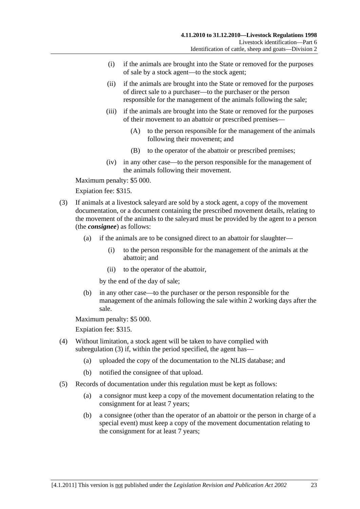- <span id="page-22-0"></span> (i) if the animals are brought into the State or removed for the purposes of sale by a stock agent—to the stock agent;
- (ii) if the animals are brought into the State or removed for the purposes of direct sale to a purchaser—to the purchaser or the person responsible for the management of the animals following the sale;
- (iii) if the animals are brought into the State or removed for the purposes of their movement to an abattoir or prescribed premises—
	- (A) to the person responsible for the management of the animals following their movement; and
	- (B) to the operator of the abattoir or prescribed premises;
- (iv) in any other case—to the person responsible for the management of the animals following their movement.

Maximum penalty: \$5 000.

Expiation fee: \$315.

- (3) If animals at a livestock saleyard are sold by a stock agent, a copy of the movement documentation, or a document containing the prescribed movement details, relating to the movement of the animals to the saleyard must be provided by the agent to a person (the *consignee*) as follows:
	- (a) if the animals are to be consigned direct to an abattoir for slaughter—
		- (i) to the person responsible for the management of the animals at the abattoir; and
		- (ii) to the operator of the abattoir,

by the end of the day of sale;

 (b) in any other case—to the purchaser or the person responsible for the management of the animals following the sale within 2 working days after the sale.

Maximum penalty: \$5 000.

- (4) Without limitation, a stock agent will be taken to have complied with [subregulation \(3\)](#page-22-0) if, within the period specified, the agent has—
	- (a) uploaded the copy of the documentation to the NLIS database; and
	- (b) notified the consignee of that upload.
- (5) Records of documentation under this regulation must be kept as follows:
	- (a) a consignor must keep a copy of the movement documentation relating to the consignment for at least 7 years;
	- (b) a consignee (other than the operator of an abattoir or the person in charge of a special event) must keep a copy of the movement documentation relating to the consignment for at least 7 years;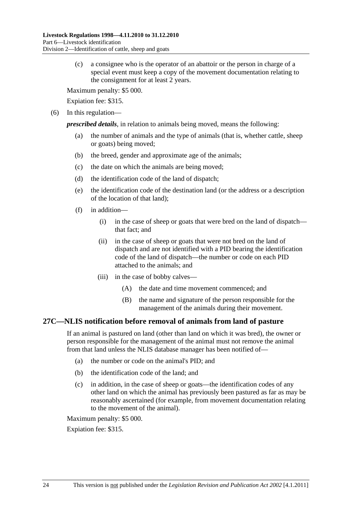<span id="page-23-0"></span> (c) a consignee who is the operator of an abattoir or the person in charge of a special event must keep a copy of the movement documentation relating to the consignment for at least 2 years.

Maximum penalty: \$5 000.

Expiation fee: \$315.

(6) In this regulation—

*prescribed details*, in relation to animals being moved, means the following:

- (a) the number of animals and the type of animals (that is, whether cattle, sheep or goats) being moved;
- (b) the breed, gender and approximate age of the animals;
- (c) the date on which the animals are being moved;
- (d) the identification code of the land of dispatch;
- (e) the identification code of the destination land (or the address or a description of the location of that land);
- (f) in addition—
	- (i) in the case of sheep or goats that were bred on the land of dispatch that fact; and
	- (ii) in the case of sheep or goats that were not bred on the land of dispatch and are not identified with a PID bearing the identification code of the land of dispatch—the number or code on each PID attached to the animals; and
	- (iii) in the case of bobby calves—
		- (A) the date and time movement commenced; and
		- (B) the name and signature of the person responsible for the management of the animals during their movement.

## **27C—NLIS notification before removal of animals from land of pasture**

If an animal is pastured on land (other than land on which it was bred), the owner or person responsible for the management of the animal must not remove the animal from that land unless the NLIS database manager has been notified of—

- (a) the number or code on the animal's PID; and
- (b) the identification code of the land; and
- (c) in addition, in the case of sheep or goats—the identification codes of any other land on which the animal has previously been pastured as far as may be reasonably ascertained (for example, from movement documentation relating to the movement of the animal).

Maximum penalty: \$5 000.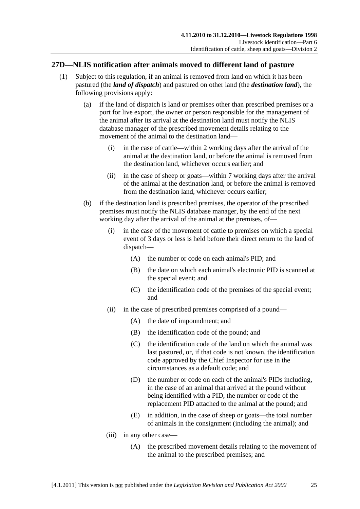## <span id="page-24-0"></span>**27D—NLIS notification after animals moved to different land of pasture**

- (1) Subject to this regulation, if an animal is removed from land on which it has been pastured (the *land of dispatch*) and pastured on other land (the *destination land*), the following provisions apply:
	- (a) if the land of dispatch is land or premises other than prescribed premises or a port for live export, the owner or person responsible for the management of the animal after its arrival at the destination land must notify the NLIS database manager of the prescribed movement details relating to the movement of the animal to the destination land—
		- (i) in the case of cattle—within 2 working days after the arrival of the animal at the destination land, or before the animal is removed from the destination land, whichever occurs earlier; and
		- (ii) in the case of sheep or goats—within 7 working days after the arrival of the animal at the destination land, or before the animal is removed from the destination land, whichever occurs earlier;
	- (b) if the destination land is prescribed premises, the operator of the prescribed premises must notify the NLIS database manager, by the end of the next working day after the arrival of the animal at the premises, of—
		- (i) in the case of the movement of cattle to premises on which a special event of 3 days or less is held before their direct return to the land of dispatch—
			- (A) the number or code on each animal's PID; and
			- (B) the date on which each animal's electronic PID is scanned at the special event; and
			- (C) the identification code of the premises of the special event; and
		- (ii) in the case of prescribed premises comprised of a pound—
			- (A) the date of impoundment; and
			- (B) the identification code of the pound; and
			- (C) the identification code of the land on which the animal was last pastured, or, if that code is not known, the identification code approved by the Chief Inspector for use in the circumstances as a default code; and
			- (D) the number or code on each of the animal's PIDs including, in the case of an animal that arrived at the pound without being identified with a PID, the number or code of the replacement PID attached to the animal at the pound; and
			- (E) in addition, in the case of sheep or goats—the total number of animals in the consignment (including the animal); and
		- (iii) in any other case—
			- (A) the prescribed movement details relating to the movement of the animal to the prescribed premises; and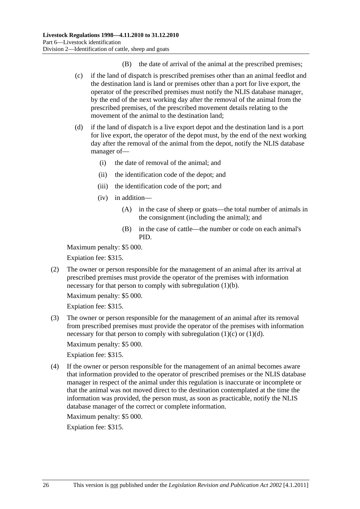- (B) the date of arrival of the animal at the prescribed premises;
- <span id="page-25-0"></span> (c) if the land of dispatch is prescribed premises other than an animal feedlot and the destination land is land or premises other than a port for live export, the operator of the prescribed premises must notify the NLIS database manager, by the end of the next working day after the removal of the animal from the prescribed premises, of the prescribed movement details relating to the movement of the animal to the destination land;
- (d) if the land of dispatch is a live export depot and the destination land is a port for live export, the operator of the depot must, by the end of the next working day after the removal of the animal from the depot, notify the NLIS database manager of—
	- (i) the date of removal of the animal; and
	- (ii) the identification code of the depot; and
	- (iii) the identification code of the port; and
	- (iv) in addition—
		- (A) in the case of sheep or goats—the total number of animals in the consignment (including the animal); and
		- (B) in the case of cattle—the number or code on each animal's PID.

Maximum penalty: \$5 000.

Expiation fee: \$315.

 (2) The owner or person responsible for the management of an animal after its arrival at prescribed premises must provide the operator of the premises with information necessary for that person to comply with [subregulation \(1\)\(b\).](#page-24-0)

Maximum penalty: \$5 000.

Expiation fee: \$315.

 (3) The owner or person responsible for the management of an animal after its removal from prescribed premises must provide the operator of the premises with information necessary for that person to comply with subregulation  $(1)(c)$  or  $(1)(d)$ .

Maximum penalty: \$5 000.

Expiation fee: \$315.

 (4) If the owner or person responsible for the management of an animal becomes aware that information provided to the operator of prescribed premises or the NLIS database manager in respect of the animal under this regulation is inaccurate or incomplete or that the animal was not moved direct to the destination contemplated at the time the information was provided, the person must, as soon as practicable, notify the NLIS database manager of the correct or complete information.

Maximum penalty: \$5 000.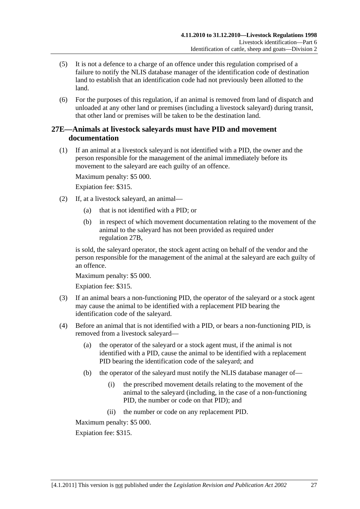- <span id="page-26-0"></span> (5) It is not a defence to a charge of an offence under this regulation comprised of a failure to notify the NLIS database manager of the identification code of destination land to establish that an identification code had not previously been allotted to the land.
- (6) For the purposes of this regulation, if an animal is removed from land of dispatch and unloaded at any other land or premises (including a livestock saleyard) during transit, that other land or premises will be taken to be the destination land.

## **27E—Animals at livestock saleyards must have PID and movement documentation**

 (1) If an animal at a livestock saleyard is not identified with a PID, the owner and the person responsible for the management of the animal immediately before its movement to the saleyard are each guilty of an offence.

Maximum penalty: \$5 000.

Expiation fee: \$315.

- (2) If, at a livestock saleyard, an animal—
	- (a) that is not identified with a PID; or
	- (b) in respect of which movement documentation relating to the movement of the animal to the saleyard has not been provided as required under [regulation 27B](#page-21-0),

is sold, the saleyard operator, the stock agent acting on behalf of the vendor and the person responsible for the management of the animal at the saleyard are each guilty of an offence.

Maximum penalty: \$5 000.

Expiation fee: \$315.

- (3) If an animal bears a non-functioning PID, the operator of the saleyard or a stock agent may cause the animal to be identified with a replacement PID bearing the identification code of the saleyard.
- (4) Before an animal that is not identified with a PID, or bears a non-functioning PID, is removed from a livestock saleyard—
	- (a) the operator of the saleyard or a stock agent must, if the animal is not identified with a PID, cause the animal to be identified with a replacement PID bearing the identification code of the saleyard; and
	- (b) the operator of the saleyard must notify the NLIS database manager of—
		- (i) the prescribed movement details relating to the movement of the animal to the saleyard (including, in the case of a non-functioning PID, the number or code on that PID); and
		- (ii) the number or code on any replacement PID.

Maximum penalty: \$5 000.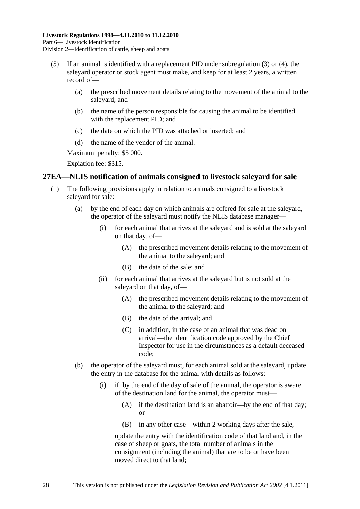- <span id="page-27-0"></span> (5) If an animal is identified with a replacement PID under [subregulation \(3\)](#page-26-0) or [\(4\),](#page-26-0) the saleyard operator or stock agent must make, and keep for at least 2 years, a written record of—
	- (a) the prescribed movement details relating to the movement of the animal to the saleyard; and
	- (b) the name of the person responsible for causing the animal to be identified with the replacement PID; and
	- (c) the date on which the PID was attached or inserted; and
	- (d) the name of the vendor of the animal.

Maximum penalty: \$5 000.

Expiation fee: \$315.

## **27EA—NLIS notification of animals consigned to livestock saleyard for sale**

- (1) The following provisions apply in relation to animals consigned to a livestock saleyard for sale:
	- (a) by the end of each day on which animals are offered for sale at the saleyard, the operator of the saleyard must notify the NLIS database manager—
		- (i) for each animal that arrives at the saleyard and is sold at the saleyard on that day, of—
			- (A) the prescribed movement details relating to the movement of the animal to the saleyard; and
			- (B) the date of the sale; and
		- (ii) for each animal that arrives at the saleyard but is not sold at the saleyard on that day, of—
			- (A) the prescribed movement details relating to the movement of the animal to the saleyard; and
			- (B) the date of the arrival; and
			- (C) in addition, in the case of an animal that was dead on arrival—the identification code approved by the Chief Inspector for use in the circumstances as a default deceased code;
	- (b) the operator of the saleyard must, for each animal sold at the saleyard, update the entry in the database for the animal with details as follows:
		- (i) if, by the end of the day of sale of the animal, the operator is aware of the destination land for the animal, the operator must—
			- (A) if the destination land is an abattoir—by the end of that day; or
			- (B) in any other case—within 2 working days after the sale,

update the entry with the identification code of that land and, in the case of sheep or goats, the total number of animals in the consignment (including the animal) that are to be or have been moved direct to that land;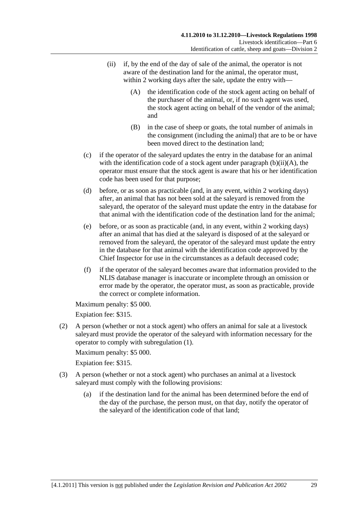- <span id="page-28-0"></span> (ii) if, by the end of the day of sale of the animal, the operator is not aware of the destination land for the animal, the operator must, within 2 working days after the sale, update the entry with—
	- (A) the identification code of the stock agent acting on behalf of the purchaser of the animal, or, if no such agent was used, the stock agent acting on behalf of the vendor of the animal; and
	- (B) in the case of sheep or goats, the total number of animals in the consignment (including the animal) that are to be or have been moved direct to the destination land;
- (c) if the operator of the saleyard updates the entry in the database for an animal with the identification code of a stock agent under paragraph  $(b)(ii)(A)$ , the operator must ensure that the stock agent is aware that his or her identification code has been used for that purpose;
- (d) before, or as soon as practicable (and, in any event, within 2 working days) after, an animal that has not been sold at the saleyard is removed from the saleyard, the operator of the saleyard must update the entry in the database for that animal with the identification code of the destination land for the animal;
- (e) before, or as soon as practicable (and, in any event, within 2 working days) after an animal that has died at the saleyard is disposed of at the saleyard or removed from the saleyard, the operator of the saleyard must update the entry in the database for that animal with the identification code approved by the Chief Inspector for use in the circumstances as a default deceased code;
- (f) if the operator of the saleyard becomes aware that information provided to the NLIS database manager is inaccurate or incomplete through an omission or error made by the operator, the operator must, as soon as practicable, provide the correct or complete information.

Maximum penalty: \$5 000.

Expiation fee: \$315.

 (2) A person (whether or not a stock agent) who offers an animal for sale at a livestock saleyard must provide the operator of the saleyard with information necessary for the operator to comply with [subregulation \(1\)](#page-27-0).

Maximum penalty: \$5 000.

- (3) A person (whether or not a stock agent) who purchases an animal at a livestock saleyard must comply with the following provisions:
	- (a) if the destination land for the animal has been determined before the end of the day of the purchase, the person must, on that day, notify the operator of the saleyard of the identification code of that land;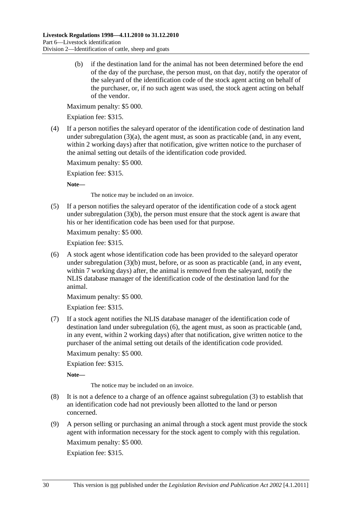<span id="page-29-0"></span> (b) if the destination land for the animal has not been determined before the end of the day of the purchase, the person must, on that day, notify the operator of the saleyard of the identification code of the stock agent acting on behalf of the purchaser, or, if no such agent was used, the stock agent acting on behalf of the vendor.

Maximum penalty: \$5 000.

Expiation fee: \$315.

 (4) If a person notifies the saleyard operator of the identification code of destination land under subregulation  $(3)(a)$ , the agent must, as soon as practicable (and, in any event, within 2 working days) after that notification, give written notice to the purchaser of the animal setting out details of the identification code provided.

Maximum penalty: \$5 000.

Expiation fee: \$315.

**Note—** 

The notice may be included on an invoice.

 (5) If a person notifies the saleyard operator of the identification code of a stock agent under subregulation  $(3)(b)$ , the person must ensure that the stock agent is aware that his or her identification code has been used for that purpose.

Maximum penalty: \$5 000.

Expiation fee: \$315.

 (6) A stock agent whose identification code has been provided to the saleyard operator under [subregulation \(3\)\(b\)](#page-29-0) must, before, or as soon as practicable (and, in any event, within 7 working days) after, the animal is removed from the saleyard, notify the NLIS database manager of the identification code of the destination land for the animal.

Maximum penalty: \$5 000.

Expiation fee: \$315.

 (7) If a stock agent notifies the NLIS database manager of the identification code of destination land under [subregulation \(6\),](#page-29-0) the agent must, as soon as practicable (and, in any event, within 2 working days) after that notification, give written notice to the purchaser of the animal setting out details of the identification code provided.

Maximum penalty: \$5 000.

Expiation fee: \$315.

**Note—** 

The notice may be included on an invoice.

- (8) It is not a defence to a charge of an offence against [subregulation \(3\)](#page-28-0) to establish that an identification code had not previously been allotted to the land or person concerned.
- (9) A person selling or purchasing an animal through a stock agent must provide the stock agent with information necessary for the stock agent to comply with this regulation. Maximum penalty: \$5 000.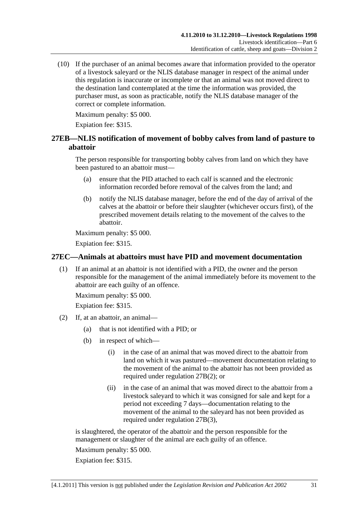<span id="page-30-0"></span> (10) If the purchaser of an animal becomes aware that information provided to the operator of a livestock saleyard or the NLIS database manager in respect of the animal under this regulation is inaccurate or incomplete or that an animal was not moved direct to the destination land contemplated at the time the information was provided, the purchaser must, as soon as practicable, notify the NLIS database manager of the correct or complete information.

Maximum penalty: \$5 000.

Expiation fee: \$315.

## **27EB—NLIS notification of movement of bobby calves from land of pasture to abattoir**

The person responsible for transporting bobby calves from land on which they have been pastured to an abattoir must—

- (a) ensure that the PID attached to each calf is scanned and the electronic information recorded before removal of the calves from the land; and
- (b) notify the NLIS database manager, before the end of the day of arrival of the calves at the abattoir or before their slaughter (whichever occurs first), of the prescribed movement details relating to the movement of the calves to the abattoir.

Maximum penalty: \$5 000.

Expiation fee: \$315.

## **27EC—Animals at abattoirs must have PID and movement documentation**

 (1) If an animal at an abattoir is not identified with a PID, the owner and the person responsible for the management of the animal immediately before its movement to the abattoir are each guilty of an offence.

Maximum penalty: \$5 000.

Expiation fee: \$315.

- (2) If, at an abattoir, an animal—
	- (a) that is not identified with a PID; or
	- (b) in respect of which—
		- (i) in the case of an animal that was moved direct to the abattoir from land on which it was pastured—movement documentation relating to the movement of the animal to the abattoir has not been provided as required under [regulation 27B\(2\);](#page-21-0) or
		- (ii) in the case of an animal that was moved direct to the abattoir from a livestock saleyard to which it was consigned for sale and kept for a period not exceeding 7 days—documentation relating to the movement of the animal to the saleyard has not been provided as required under [regulation 27B\(3\),](#page-22-0)

is slaughtered, the operator of the abattoir and the person responsible for the management or slaughter of the animal are each guilty of an offence.

Maximum penalty: \$5 000.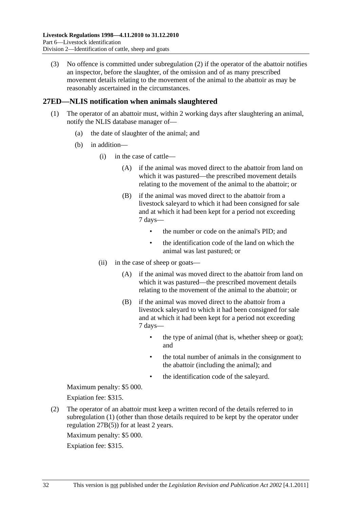<span id="page-31-0"></span> (3) No offence is committed under [subregulation \(2\)](#page-30-0) if the operator of the abattoir notifies an inspector, before the slaughter, of the omission and of as many prescribed movement details relating to the movement of the animal to the abattoir as may be reasonably ascertained in the circumstances.

## **27ED—NLIS notification when animals slaughtered**

- (1) The operator of an abattoir must, within 2 working days after slaughtering an animal, notify the NLIS database manager of—
	- (a) the date of slaughter of the animal; and
	- (b) in addition—
		- (i) in the case of cattle—
			- (A) if the animal was moved direct to the abattoir from land on which it was pastured—the prescribed movement details relating to the movement of the animal to the abattoir; or
			- (B) if the animal was moved direct to the abattoir from a livestock saleyard to which it had been consigned for sale and at which it had been kept for a period not exceeding 7 days—
				- the number or code on the animal's PID; and
				- the identification code of the land on which the animal was last pastured; or
		- (ii) in the case of sheep or goats—
			- (A) if the animal was moved direct to the abattoir from land on which it was pastured—the prescribed movement details relating to the movement of the animal to the abattoir; or
			- (B) if the animal was moved direct to the abattoir from a livestock saleyard to which it had been consigned for sale and at which it had been kept for a period not exceeding 7 days—
				- the type of animal (that is, whether sheep or goat); and
				- the total number of animals in the consignment to the abattoir (including the animal); and
				- the identification code of the saleyard.

Maximum penalty: \$5 000.

Expiation fee: \$315.

 (2) The operator of an abattoir must keep a written record of the details referred to in [subregulation \(1\)](#page-31-0) (other than those details required to be kept by the operator under [regulation 27B\(5\)\)](#page-22-0) for at least 2 years.

Maximum penalty: \$5 000.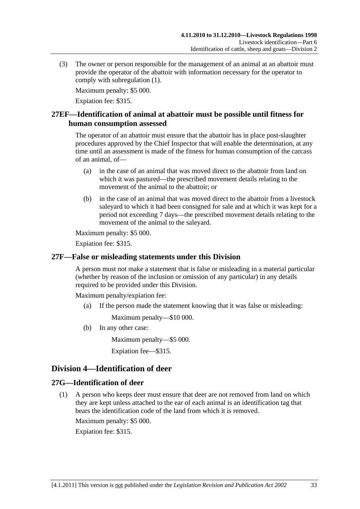<span id="page-32-0"></span> (3) The owner or person responsible for the management of an animal at an abattoir must provide the operator of the abattoir with information necessary for the operator to comply with [subregulation \(1\)](#page-31-0).

Maximum penalty: \$5 000.

Expiation fee: \$315.

## **27EF—Identification of animal at abattoir must be possible until fitness for human consumption assessed**

The operator of an abattoir must ensure that the abattoir has in place post-slaughter procedures approved by the Chief Inspector that will enable the determination, at any time until an assessment is made of the fitness for human consumption of the carcass of an animal, of—

- (a) in the case of an animal that was moved direct to the abattoir from land on which it was pastured—the prescribed movement details relating to the movement of the animal to the abattoir; or
- (b) in the case of an animal that was moved direct to the abattoir from a livestock saleyard to which it had been consigned for sale and at which it was kept for a period not exceeding 7 days—the prescribed movement details relating to the movement of the animal to the saleyard.

Maximum penalty: \$5 000.

Expiation fee: \$315.

## **27F—False or misleading statements under this Division**

A person must not make a statement that is false or misleading in a material particular (whether by reason of the inclusion or omission of any particular) in any details required to be provided under this Division.

Maximum penalty/expiation fee:

(a) If the person made the statement knowing that it was false or misleading:

Maximum penalty—\$10 000.

(b) In any other case:

Maximum penalty—\$5 000.

Expiation fee—\$315.

## **Division 4—Identification of deer**

## **27G—Identification of deer**

 (1) A person who keeps deer must ensure that deer are not removed from land on which they are kept unless attached to the ear of each animal is an identification tag that bears the identification code of the land from which it is removed.

Maximum penalty: \$5 000.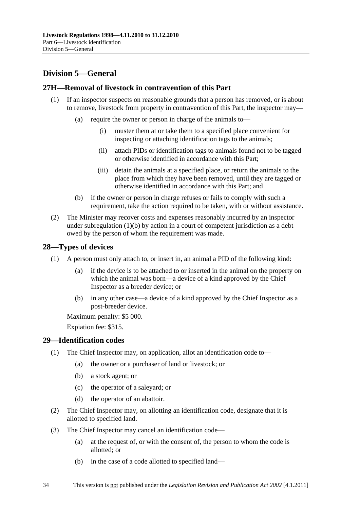# <span id="page-33-0"></span>**Division 5—General**

## **27H—Removal of livestock in contravention of this Part**

- (1) If an inspector suspects on reasonable grounds that a person has removed, or is about to remove, livestock from property in contravention of this Part, the inspector may—
	- (a) require the owner or person in charge of the animals to—
		- (i) muster them at or take them to a specified place convenient for inspecting or attaching identification tags to the animals;
		- (ii) attach PIDs or identification tags to animals found not to be tagged or otherwise identified in accordance with this Part;
		- (iii) detain the animals at a specified place, or return the animals to the place from which they have been removed, until they are tagged or otherwise identified in accordance with this Part; and
	- (b) if the owner or person in charge refuses or fails to comply with such a requirement, take the action required to be taken, with or without assistance.
- (2) The Minister may recover costs and expenses reasonably incurred by an inspector under subregulation  $(1)(b)$  by action in a court of competent jurisdiction as a debt owed by the person of whom the requirement was made.

## **28—Types of devices**

- (1) A person must only attach to, or insert in, an animal a PID of the following kind:
	- (a) if the device is to be attached to or inserted in the animal on the property on which the animal was born—a device of a kind approved by the Chief Inspector as a breeder device; or
	- (b) in any other case—a device of a kind approved by the Chief Inspector as a post-breeder device.

Maximum penalty: \$5 000.

Expiation fee: \$315.

## **29—Identification codes**

- (1) The Chief Inspector may, on application, allot an identification code to—
	- (a) the owner or a purchaser of land or livestock; or
	- (b) a stock agent; or
	- (c) the operator of a saleyard; or
	- (d) the operator of an abattoir.
- (2) The Chief Inspector may, on allotting an identification code, designate that it is allotted to specified land.
- (3) The Chief Inspector may cancel an identification code—
	- (a) at the request of, or with the consent of, the person to whom the code is allotted; or
	- (b) in the case of a code allotted to specified land—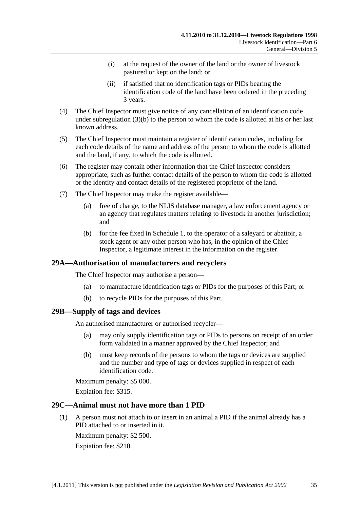- <span id="page-34-0"></span> (i) at the request of the owner of the land or the owner of livestock pastured or kept on the land; or
- (ii) if satisfied that no identification tags or PIDs bearing the identification code of the land have been ordered in the preceding 3 years.
- (4) The Chief Inspector must give notice of any cancellation of an identification code under [subregulation \(3\)\(b\)](#page-33-0) to the person to whom the code is allotted at his or her last known address.
- (5) The Chief Inspector must maintain a register of identification codes, including for each code details of the name and address of the person to whom the code is allotted and the land, if any, to which the code is allotted.
- (6) The register may contain other information that the Chief Inspector considers appropriate, such as further contact details of the person to whom the code is allotted or the identity and contact details of the registered proprietor of the land.
- (7) The Chief Inspector may make the register available—
	- (a) free of charge, to the NLIS database manager, a law enforcement agency or an agency that regulates matters relating to livestock in another jurisdiction; and
	- (b) for the fee fixed in [Schedule 1,](#page-42-0) to the operator of a saleyard or abattoir, a stock agent or any other person who has, in the opinion of the Chief Inspector, a legitimate interest in the information on the register.

## **29A—Authorisation of manufacturers and recyclers**

The Chief Inspector may authorise a person—

- (a) to manufacture identification tags or PIDs for the purposes of this Part; or
- (b) to recycle PIDs for the purposes of this Part.

## **29B—Supply of tags and devices**

An authorised manufacturer or authorised recycler—

- (a) may only supply identification tags or PIDs to persons on receipt of an order form validated in a manner approved by the Chief Inspector; and
- (b) must keep records of the persons to whom the tags or devices are supplied and the number and type of tags or devices supplied in respect of each identification code.

Maximum penalty: \$5 000.

Expiation fee: \$315.

## **29C—Animal must not have more than 1 PID**

 (1) A person must not attach to or insert in an animal a PID if the animal already has a PID attached to or inserted in it.

Maximum penalty: \$2 500. Expiation fee: \$210.

[4.1.2011] This version is not published under the *Legislation Revision and Publication Act 2002* 35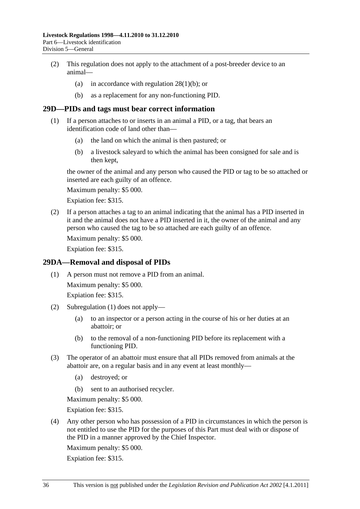- <span id="page-35-0"></span> (2) This regulation does not apply to the attachment of a post-breeder device to an animal—
	- (a) in accordance with regulation  $28(1)(b)$ ; or
	- (b) as a replacement for any non-functioning PID.

#### **29D—PIDs and tags must bear correct information**

- (1) If a person attaches to or inserts in an animal a PID, or a tag, that bears an identification code of land other than—
	- (a) the land on which the animal is then pastured; or
	- (b) a livestock saleyard to which the animal has been consigned for sale and is then kept,

the owner of the animal and any person who caused the PID or tag to be so attached or inserted are each guilty of an offence.

Maximum penalty: \$5 000.

Expiation fee: \$315.

 (2) If a person attaches a tag to an animal indicating that the animal has a PID inserted in it and the animal does not have a PID inserted in it, the owner of the animal and any person who caused the tag to be so attached are each guilty of an offence.

Maximum penalty: \$5 000.

Expiation fee: \$315.

#### **29DA—Removal and disposal of PIDs**

(1) A person must not remove a PID from an animal.

Maximum penalty: \$5 000.

Expiation fee: \$315.

- (2) [Subregulation \(1\)](#page-35-0) does not apply—
	- (a) to an inspector or a person acting in the course of his or her duties at an abattoir; or
	- (b) to the removal of a non-functioning PID before its replacement with a functioning PID.
- (3) The operator of an abattoir must ensure that all PIDs removed from animals at the abattoir are, on a regular basis and in any event at least monthly—
	- (a) destroyed; or
	- (b) sent to an authorised recycler.

Maximum penalty: \$5 000.

Expiation fee: \$315.

 (4) Any other person who has possession of a PID in circumstances in which the person is not entitled to use the PID for the purposes of this Part must deal with or dispose of the PID in a manner approved by the Chief Inspector.

Maximum penalty: \$5 000.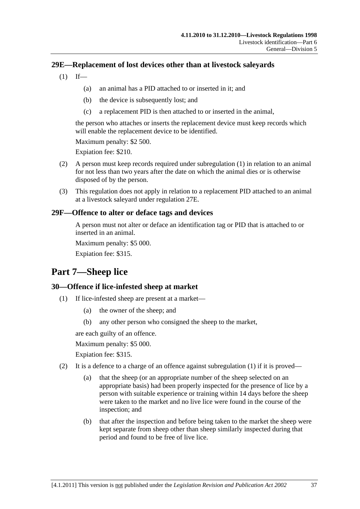## <span id="page-36-0"></span>**29E—Replacement of lost devices other than at livestock saleyards**

- $(1)$  If—
	- (a) an animal has a PID attached to or inserted in it; and
	- (b) the device is subsequently lost; and
	- (c) a replacement PID is then attached to or inserted in the animal,

the person who attaches or inserts the replacement device must keep records which will enable the replacement device to be identified.

Maximum penalty: \$2 500.

Expiation fee: \$210.

- (2) A person must keep records required under [subregulation \(1\)](#page-36-0) in relation to an animal for not less than two years after the date on which the animal dies or is otherwise disposed of by the person.
- (3) This regulation does not apply in relation to a replacement PID attached to an animal at a livestock saleyard under [regulation 27E.](#page-26-0)

## **29F—Offence to alter or deface tags and devices**

A person must not alter or deface an identification tag or PID that is attached to or inserted in an animal.

Maximum penalty: \$5 000.

Expiation fee: \$315.

# **Part 7—Sheep lice**

## **30—Offence if lice-infested sheep at market**

- (1) If lice-infested sheep are present at a market—
	- (a) the owner of the sheep; and
	- (b) any other person who consigned the sheep to the market,

are each guilty of an offence.

Maximum penalty: \$5 000.

- (2) It is a defence to a charge of an offence against subregulation  $(1)$  if it is proved—
	- (a) that the sheep (or an appropriate number of the sheep selected on an appropriate basis) had been properly inspected for the presence of lice by a person with suitable experience or training within 14 days before the sheep were taken to the market and no live lice were found in the course of the inspection; and
	- (b) that after the inspection and before being taken to the market the sheep were kept separate from sheep other than sheep similarly inspected during that period and found to be free of live lice.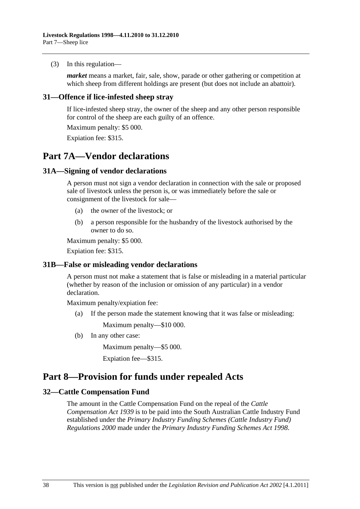#### <span id="page-37-0"></span>(3) In this regulation—

*market* means a market, fair, sale, show, parade or other gathering or competition at which sheep from different holdings are present (but does not include an abattoir).

## **31—Offence if lice-infested sheep stray**

If lice-infested sheep stray, the owner of the sheep and any other person responsible for control of the sheep are each guilty of an offence.

Maximum penalty: \$5 000.

Expiation fee: \$315.

# **Part 7A—Vendor declarations**

## **31A—Signing of vendor declarations**

A person must not sign a vendor declaration in connection with the sale or proposed sale of livestock unless the person is, or was immediately before the sale or consignment of the livestock for sale—

- (a) the owner of the livestock; or
- (b) a person responsible for the husbandry of the livestock authorised by the owner to do so.

Maximum penalty: \$5 000.

Expiation fee: \$315.

## **31B—False or misleading vendor declarations**

A person must not make a statement that is false or misleading in a material particular (whether by reason of the inclusion or omission of any particular) in a vendor declaration.

Maximum penalty/expiation fee:

(a) If the person made the statement knowing that it was false or misleading:

Maximum penalty—\$10 000.

(b) In any other case:

Maximum penalty—\$5 000.

Expiation fee—\$315.

## **Part 8—Provision for funds under repealed Acts**

## **32—Cattle Compensation Fund**

The amount in the Cattle Compensation Fund on the repeal of the *[Cattle](http://www.legislation.sa.gov.au/index.aspx?action=legref&type=act&legtitle=Cattle%20Compensation%20Act%201939)  [Compensation Act 1939](http://www.legislation.sa.gov.au/index.aspx?action=legref&type=act&legtitle=Cattle%20Compensation%20Act%201939)* is to be paid into the South Australian Cattle Industry Fund established under the *[Primary Industry Funding Schemes \(Cattle Industry Fund\)](http://www.legislation.sa.gov.au/index.aspx?action=legref&type=subordleg&legtitle=Primary%20Industry%20Funding%20Schemes%20(Cattle%20Industry%20Fund)%20Regulations%202000)  [Regulations 2000](http://www.legislation.sa.gov.au/index.aspx?action=legref&type=subordleg&legtitle=Primary%20Industry%20Funding%20Schemes%20(Cattle%20Industry%20Fund)%20Regulations%202000)* made under the *[Primary Industry Funding Schemes Act 1998](http://www.legislation.sa.gov.au/index.aspx?action=legref&type=act&legtitle=Primary%20Industry%20Funding%20Schemes%20Act%201998)*.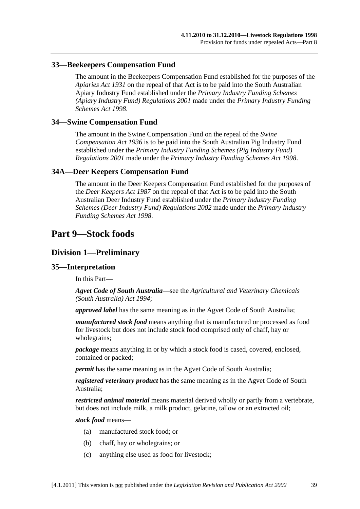## <span id="page-38-0"></span>**33—Beekeepers Compensation Fund**

The amount in the Beekeepers Compensation Fund established for the purposes of the *[Apiaries Act 1931](http://www.legislation.sa.gov.au/index.aspx?action=legref&type=act&legtitle=Apiaries%20Act%201931)* on the repeal of that Act is to be paid into the South Australian Apiary Industry Fund established under the *[Primary Industry Funding Schemes](http://www.legislation.sa.gov.au/index.aspx?action=legref&type=subordleg&legtitle=Primary%20Industry%20Funding%20Schemes%20(Apiary%20Industry%20Fund)%20Regulations%202001)  [\(Apiary Industry Fund\) Regulations 2001](http://www.legislation.sa.gov.au/index.aspx?action=legref&type=subordleg&legtitle=Primary%20Industry%20Funding%20Schemes%20(Apiary%20Industry%20Fund)%20Regulations%202001)* made under the *[Primary Industry Funding](http://www.legislation.sa.gov.au/index.aspx?action=legref&type=act&legtitle=Primary%20Industry%20Funding%20Schemes%20Act%201998)  [Schemes Act 1998](http://www.legislation.sa.gov.au/index.aspx?action=legref&type=act&legtitle=Primary%20Industry%20Funding%20Schemes%20Act%201998)*.

#### **34—Swine Compensation Fund**

The amount in the Swine Compensation Fund on the repeal of the *[Swine](http://www.legislation.sa.gov.au/index.aspx?action=legref&type=act&legtitle=Swine%20Compensation%20Act%201936)  [Compensation Act 1936](http://www.legislation.sa.gov.au/index.aspx?action=legref&type=act&legtitle=Swine%20Compensation%20Act%201936)* is to be paid into the South Australian Pig Industry Fund established under the *[Primary Industry Funding Schemes \(Pig Industry Fund\)](http://www.legislation.sa.gov.au/index.aspx?action=legref&type=subordleg&legtitle=Primary%20Industry%20Funding%20Schemes%20(Pig%20Industry%20Fund)%20Regulations%202001)  [Regulations 2001](http://www.legislation.sa.gov.au/index.aspx?action=legref&type=subordleg&legtitle=Primary%20Industry%20Funding%20Schemes%20(Pig%20Industry%20Fund)%20Regulations%202001)* made under the *[Primary Industry Funding Schemes Act 1998](http://www.legislation.sa.gov.au/index.aspx?action=legref&type=act&legtitle=Primary%20Industry%20Funding%20Schemes%20Act%201998)*.

## **34A—Deer Keepers Compensation Fund**

The amount in the Deer Keepers Compensation Fund established for the purposes of the *[Deer Keepers Act 1987](http://www.legislation.sa.gov.au/index.aspx?action=legref&type=act&legtitle=Deer%20Keepers%20Act%201987)* on the repeal of that Act is to be paid into the South Australian Deer Industry Fund established under the *[Primary Industry Funding](http://www.legislation.sa.gov.au/index.aspx?action=legref&type=subordleg&legtitle=Primary%20Industry%20Funding%20Schemes%20(Deer%20Industry%20Fund)%20Regulations%202002)  [Schemes \(Deer Industry Fund\) Regulations 2002](http://www.legislation.sa.gov.au/index.aspx?action=legref&type=subordleg&legtitle=Primary%20Industry%20Funding%20Schemes%20(Deer%20Industry%20Fund)%20Regulations%202002)* made under the *[Primary Industry](http://www.legislation.sa.gov.au/index.aspx?action=legref&type=act&legtitle=Primary%20Industry%20Funding%20Schemes%20Act%201998)  [Funding Schemes Act 1998](http://www.legislation.sa.gov.au/index.aspx?action=legref&type=act&legtitle=Primary%20Industry%20Funding%20Schemes%20Act%201998)*.

## **Part 9—Stock foods**

## **Division 1—Preliminary**

#### **35—Interpretation**

In this Part—

*Agvet Code of South Australia*—see the *[Agricultural and Veterinary Chemicals](http://www.legislation.sa.gov.au/index.aspx?action=legref&type=act&legtitle=Agricultural%20and%20Veterinary%20Chemicals%20(South%20Australia)%20Act%201994)  [\(South Australia\) Act 1994](http://www.legislation.sa.gov.au/index.aspx?action=legref&type=act&legtitle=Agricultural%20and%20Veterinary%20Chemicals%20(South%20Australia)%20Act%201994)*;

*approved label* has the same meaning as in the Agvet Code of South Australia;

*manufactured stock food* means anything that is manufactured or processed as food for livestock but does not include stock food comprised only of chaff, hay or wholegrains;

*package* means anything in or by which a stock food is cased, covered, enclosed, contained or packed;

*permit* has the same meaning as in the Agvet Code of South Australia;

*registered veterinary product* has the same meaning as in the Agvet Code of South Australia;

*restricted animal material* means material derived wholly or partly from a vertebrate, but does not include milk, a milk product, gelatine, tallow or an extracted oil;

*stock food* means—

- (a) manufactured stock food; or
- (b) chaff, hay or wholegrains; or
- (c) anything else used as food for livestock;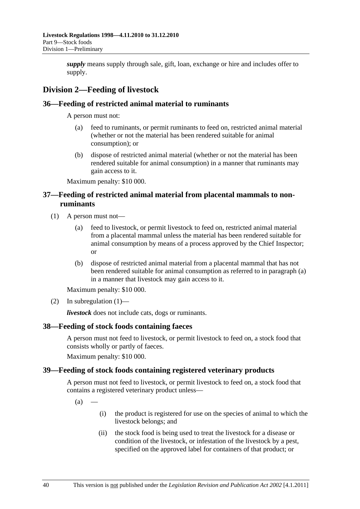<span id="page-39-0"></span>*supply* means supply through sale, gift, loan, exchange or hire and includes offer to supply.

## **Division 2—Feeding of livestock**

## **36—Feeding of restricted animal material to ruminants**

A person must not:

- (a) feed to ruminants, or permit ruminants to feed on, restricted animal material (whether or not the material has been rendered suitable for animal consumption); or
- (b) dispose of restricted animal material (whether or not the material has been rendered suitable for animal consumption) in a manner that ruminants may gain access to it.

Maximum penalty: \$10 000.

## **37—Feeding of restricted animal material from placental mammals to nonruminants**

- (1) A person must not—
	- (a) feed to livestock, or permit livestock to feed on, restricted animal material from a placental mammal unless the material has been rendered suitable for animal consumption by means of a process approved by the Chief Inspector; or
	- (b) dispose of restricted animal material from a placental mammal that has not been rendered suitable for animal consumption as referred to in [paragraph \(a\)](#page-39-0) in a manner that livestock may gain access to it.

Maximum penalty: \$10 000.

(2) In subregulation  $(1)$ —

*livestock* does not include cats, dogs or ruminants.

## **38—Feeding of stock foods containing faeces**

A person must not feed to livestock, or permit livestock to feed on, a stock food that consists wholly or partly of faeces.

Maximum penalty: \$10 000.

## **39—Feeding of stock foods containing registered veterinary products**

A person must not feed to livestock, or permit livestock to feed on, a stock food that contains a registered veterinary product unless—

 $(a)$ 

- (i) the product is registered for use on the species of animal to which the livestock belongs; and
- (ii) the stock food is being used to treat the livestock for a disease or condition of the livestock, or infestation of the livestock by a pest, specified on the approved label for containers of that product; or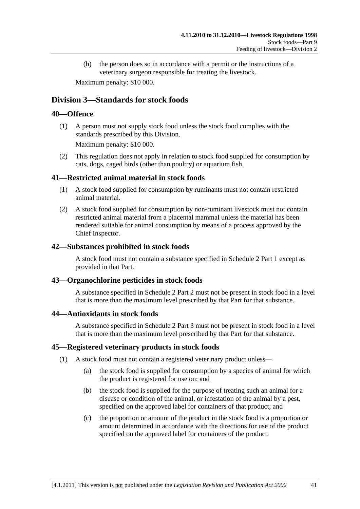<span id="page-40-0"></span> (b) the person does so in accordance with a permit or the instructions of a veterinary surgeon responsible for treating the livestock.

Maximum penalty: \$10 000.

## **Division 3—Standards for stock foods**

## **40—Offence**

 (1) A person must not supply stock food unless the stock food complies with the standards prescribed by this Division.

Maximum penalty: \$10 000.

 (2) This regulation does not apply in relation to stock food supplied for consumption by cats, dogs, caged birds (other than poultry) or aquarium fish.

## **41—Restricted animal material in stock foods**

- (1) A stock food supplied for consumption by ruminants must not contain restricted animal material.
- (2) A stock food supplied for consumption by non-ruminant livestock must not contain restricted animal material from a placental mammal unless the material has been rendered suitable for animal consumption by means of a process approved by the Chief Inspector.

## **42—Substances prohibited in stock foods**

A stock food must not contain a substance specified in [Schedule 2 Part 1](#page-0-0) except as provided in that Part.

## **43—Organochlorine pesticides in stock foods**

A substance specified in [Schedule 2 Part 2](#page-0-0) must not be present in stock food in a level that is more than the maximum level prescribed by that Part for that substance.

#### **44—Antioxidants in stock foods**

A substance specified in [Schedule 2 Part 3](#page-0-0) must not be present in stock food in a level that is more than the maximum level prescribed by that Part for that substance.

#### **45—Registered veterinary products in stock foods**

- (1) A stock food must not contain a registered veterinary product unless—
	- (a) the stock food is supplied for consumption by a species of animal for which the product is registered for use on; and
	- (b) the stock food is supplied for the purpose of treating such an animal for a disease or condition of the animal, or infestation of the animal by a pest, specified on the approved label for containers of that product; and
	- (c) the proportion or amount of the product in the stock food is a proportion or amount determined in accordance with the directions for use of the product specified on the approved label for containers of the product.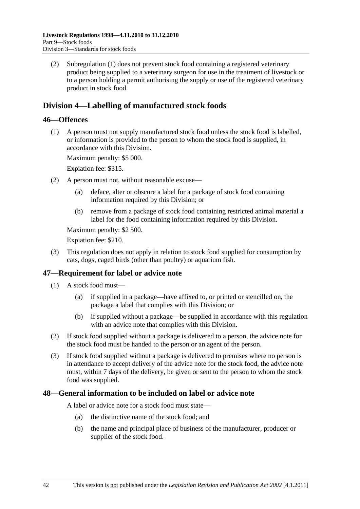<span id="page-41-0"></span> (2) [Subregulation \(1\)](#page-40-0) does not prevent stock food containing a registered veterinary product being supplied to a veterinary surgeon for use in the treatment of livestock or to a person holding a permit authorising the supply or use of the registered veterinary product in stock food.

## **Division 4—Labelling of manufactured stock foods**

## **46—Offences**

 (1) A person must not supply manufactured stock food unless the stock food is labelled, or information is provided to the person to whom the stock food is supplied, in accordance with this Division.

Maximum penalty: \$5 000.

Expiation fee: \$315.

- (2) A person must not, without reasonable excuse—
	- (a) deface, alter or obscure a label for a package of stock food containing information required by this Division; or
	- (b) remove from a package of stock food containing restricted animal material a label for the food containing information required by this Division.

Maximum penalty: \$2 500.

Expiation fee: \$210.

 (3) This regulation does not apply in relation to stock food supplied for consumption by cats, dogs, caged birds (other than poultry) or aquarium fish.

## **47—Requirement for label or advice note**

- (1) A stock food must—
	- (a) if supplied in a package—have affixed to, or printed or stencilled on, the package a label that complies with this Division; or
	- (b) if supplied without a package—be supplied in accordance with this regulation with an advice note that complies with this Division.
- (2) If stock food supplied without a package is delivered to a person, the advice note for the stock food must be handed to the person or an agent of the person.
- (3) If stock food supplied without a package is delivered to premises where no person is in attendance to accept delivery of the advice note for the stock food, the advice note must, within 7 days of the delivery, be given or sent to the person to whom the stock food was supplied.

#### **48—General information to be included on label or advice note**

A label or advice note for a stock food must state—

- (a) the distinctive name of the stock food; and
- (b) the name and principal place of business of the manufacturer, producer or supplier of the stock food.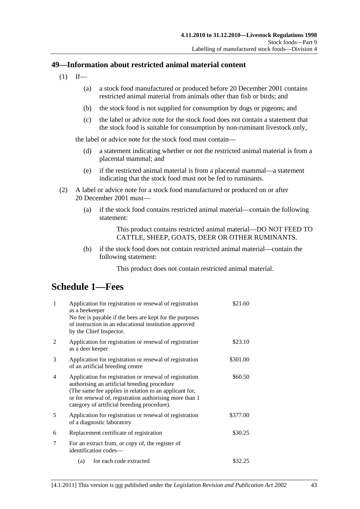## <span id="page-42-0"></span>**49—Information about restricted animal material content**

- $(1)$  If—
	- (a) a stock food manufactured or produced before 20 December 2001 contains restricted animal material from animals other than fish or birds; and
	- (b) the stock food is not supplied for consumption by dogs or pigeons; and
	- (c) the label or advice note for the stock food does not contain a statement that the stock food is suitable for consumption by non-ruminant livestock only,

the label or advice note for the stock food must contain—

- (d) a statement indicating whether or not the restricted animal material is from a placental mammal; and
- (e) if the restricted animal material is from a placental mammal—a statement indicating that the stock food must not be fed to ruminants.
- (2) A label or advice note for a stock food manufactured or produced on or after 20 December 2001 must—
	- (a) if the stock food contains restricted animal material—contain the following statement:

This product contains restricted animal material—DO NOT FEED TO CATTLE, SHEEP, GOATS, DEER OR OTHER RUMINANTS.

 (b) if the stock food does not contain restricted animal material—contain the following statement:

This product does not contain restricted animal material.

## **Schedule 1—Fees**

| $\mathbf{1}$ | Application for registration or renewal of registration<br>as a beekeeper<br>No fee is payable if the bees are kept for the purposes<br>of instruction in an educational institution approved<br>by the Chief Inspector.                                                               | \$21.60  |
|--------------|----------------------------------------------------------------------------------------------------------------------------------------------------------------------------------------------------------------------------------------------------------------------------------------|----------|
| 2            | Application for registration or renewal of registration<br>as a deer keeper                                                                                                                                                                                                            | \$23.10  |
| 3            | Application for registration or renewal of registration<br>of an artificial breeding centre                                                                                                                                                                                            | \$301.00 |
| 4            | Application for registration or renewal of registration<br>\$60.50<br>authorising an artificial breeding procedure<br>(The same fee applies in relation to an applicant for,<br>or for renewal of, registration authorising more than 1<br>category of artificial breeding procedure). |          |
| 5            | Application for registration or renewal of registration<br>of a diagnostic laboratory                                                                                                                                                                                                  | \$377.00 |
| 6            | Replacement certificate of registration                                                                                                                                                                                                                                                | \$30.25  |
| 7            | For an extract from, or copy of, the register of<br>identification codes—                                                                                                                                                                                                              |          |
|              | (a) for each code extracted                                                                                                                                                                                                                                                            | \$32.25  |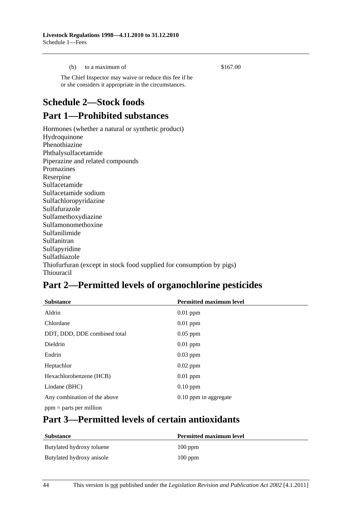<span id="page-43-0"></span>(b) to a maximum of  $$167.00$ 

 The Chief Inspector may waive or reduce this fee if he or she considers it appropriate in the circumstances.

# **Schedule 2—Stock foods**

# **Part 1—Prohibited substances**

Hormones (whether a natural or synthetic product) Hydroquinone Phenothiazine Phthalysulfacetamide Piperazine and related compounds Promazines Reserpine Sulfacetamide Sulfacetamide sodium Sulfachloropyridazine Sulfafurazole Sulfamethoxydiazine Sulfamonomethoxine Sulfanilimide Sulfanitran Sulfapyridine Sulfathiazole Thiofurfuran (except in stock food supplied for consumption by pigs) Thiouracil

# **Part 2—Permitted levels of organochlorine pesticides**

| <b>Substance</b>             | <b>Permitted maximum level</b> |
|------------------------------|--------------------------------|
| Aldrin                       | $0.01$ ppm                     |
| Chlordane                    | $0.01$ ppm                     |
| DDT, DDD, DDE combined total | $0.05$ ppm                     |
| Dieldrin                     | $0.01$ ppm                     |
| Endrin                       | $0.03$ ppm                     |
| Heptachlor                   | $0.02$ ppm                     |
| Hexachlorobenzene (HCB)      | $0.01$ ppm                     |
| Lindane (BHC)                | $0.10$ ppm                     |
| Any combination of the above | 0.10 ppm in aggregate          |
| $ppm =$ parts per million    |                                |

# **Part 3—Permitted levels of certain antioxidants**

| <b>Substance</b>          | <b>Permitted maximum level</b> |
|---------------------------|--------------------------------|
| Butylated hydroxy toluene | $100$ ppm                      |
| Butylated hydroxy anisole | $100$ ppm                      |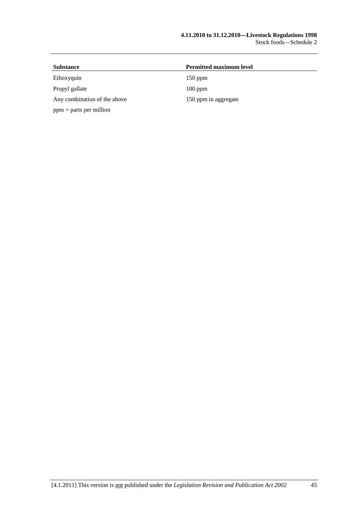| <b>Substance</b>             | <b>Permitted maximum level</b> |  |
|------------------------------|--------------------------------|--|
| Ethoxyquin                   | $150$ ppm                      |  |
| Propyl gallate               | $100$ ppm                      |  |
| Any combination of the above | 150 ppm in aggregate           |  |
| $ppm =$ parts per million    |                                |  |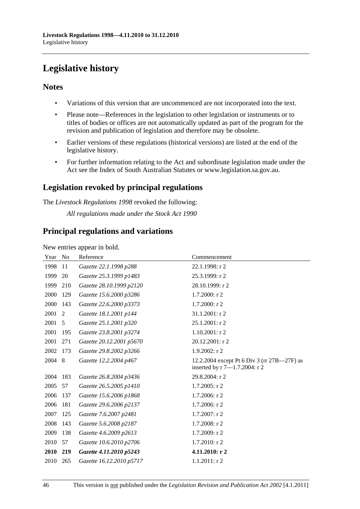# <span id="page-45-0"></span>**Legislative history**

## **Notes**

- Variations of this version that are uncommenced are not incorporated into the text.
- Please note—References in the legislation to other legislation or instruments or to titles of bodies or offices are not automatically updated as part of the program for the revision and publication of legislation and therefore may be obsolete.
- Earlier versions of these regulations (historical versions) are listed at the end of the legislative history.
- For further information relating to the Act and subordinate legislation made under the Act see the Index of South Australian Statutes or www.legislation.sa.gov.au.

## **Legislation revoked by principal regulations**

The *Livestock Regulations 1998* revoked the following:

*All regulations made under the Stock Act 1990*

## **Principal regulations and variations**

New entries appear in bold.

| Year | N <sub>0</sub> | Reference                | Commencement                                                                 |
|------|----------------|--------------------------|------------------------------------------------------------------------------|
| 1998 | 11             | Gazette 22.1.1998 p288   | 22.1.1998: r 2                                                               |
| 1999 | 20             | Gazette 25.3.1999 p1483  | 25.3.1999: r 2                                                               |
| 1999 | 210            | Gazette 28.10.1999 p2120 | 28.10.1999: r 2                                                              |
| 2000 | 129            | Gazette 15.6.2000 p3286  | 1.7.2000: r 2                                                                |
| 2000 | 143            | Gazette 22.6.2000 p3373  | $1.7.2000:$ r 2                                                              |
| 2001 | 2              | Gazette 18.1.2001 p144   | 31.1.2001: r 2                                                               |
| 2001 | 5              | Gazette 25.1.2001 p320   | $25.1.2001:$ r 2                                                             |
| 2001 | 195            | Gazette 23.8.2001 p3274  | $1.10.2001:$ r 2                                                             |
| 2001 | 271            | Gazette 20.12.2001 p5670 | $20.12.2001:$ r 2                                                            |
| 2002 | 173            | Gazette 29.8.2002 p3266  | $1.9.2002$ : r 2                                                             |
| 2004 | 8              | Gazette 12.2.2004 p467   | 12.2.2004 except Pt 6 Div 3 (rr 27B—27F) as<br>inserted by r 7-1.7.2004: r 2 |
| 2004 | 183            | Gazette 26.8.2004 p3436  | 29.8.2004: r 2                                                               |
| 2005 | 57             | Gazette 26.5.2005 p1410  | $1.7.2005$ : r 2                                                             |
| 2006 | 137            | Gazette 15.6.2006 p1868  | 1.7.2006: r 2                                                                |
| 2006 | 181            | Gazette 29.6.2006 p2137  | 1.7.2006: r 2                                                                |
| 2007 | 125            | Gazette 7.6.2007 p2481   | 1.7.2007: r 2                                                                |
| 2008 | 143            | Gazette 5.6.2008 p2187   | $1.7.2008$ : r 2                                                             |
| 2009 | 138            | Gazette 4.6.2009 p2613   | 1.7.2009: r 2                                                                |
| 2010 | 57             | Gazette 10.6.2010 p2706  | 1.7.2010: r 2                                                                |
| 2010 | 219            | Gazette 4.11.2010 p5243  | 4.11.2010: r 2                                                               |
| 2010 | 265            | Gazette 16.12.2010 p5717 | $1.1.2011:$ r 2                                                              |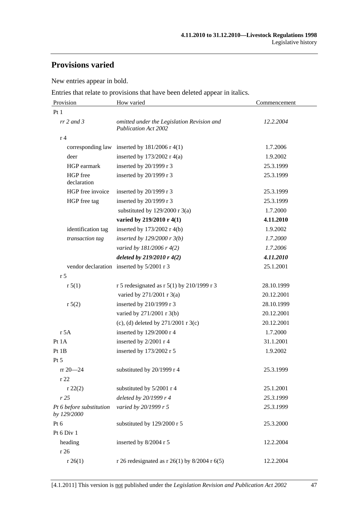# **Provisions varied**

New entries appear in bold.

Entries that relate to provisions that have been deleted appear in italics.

| Provision                               | How varied                                                                | Commencement |
|-----------------------------------------|---------------------------------------------------------------------------|--------------|
| Pt1                                     |                                                                           |              |
| $rr$ 2 and 3                            | omitted under the Legislation Revision and<br><b>Publication Act 2002</b> | 12.2.2004    |
| r <sub>4</sub>                          |                                                                           |              |
|                                         | corresponding law inserted by $181/2006$ r 4(1)                           | 1.7.2006     |
| deer                                    | inserted by $173/2002$ r 4(a)                                             | 1.9.2002     |
| HGP earmark                             | inserted by 20/1999 r 3                                                   | 25.3.1999    |
| HGP free<br>declaration                 | inserted by 20/1999 r 3                                                   | 25.3.1999    |
| HGP free invoice                        | inserted by 20/1999 r 3                                                   | 25.3.1999    |
| HGP free tag                            | inserted by 20/1999 r 3                                                   | 25.3.1999    |
|                                         | substituted by $129/2000$ r 3(a)                                          | 1.7.2000     |
|                                         | varied by 219/2010 r 4(1)                                                 | 4.11.2010    |
| identification tag                      | inserted by 173/2002 r 4(b)                                               | 1.9.2002     |
| transaction tag                         | inserted by $129/2000$ r $3(b)$                                           | 1.7.2000     |
|                                         | varied by 181/2006 r 4(2)                                                 | 1.7.2006     |
|                                         | deleted by $219/2010r$ 4(2)                                               | 4.11.2010    |
|                                         | vendor declaration inserted by 5/2001 r 3                                 | 25.1.2001    |
| r <sub>5</sub>                          |                                                                           |              |
| r 5(1)                                  | r 5 redesignated as r 5(1) by 210/1999 r 3                                | 28.10.1999   |
|                                         | varied by 271/2001 r 3(a)                                                 | 20.12.2001   |
| r 5(2)                                  | inserted by 210/1999 r 3                                                  | 28.10.1999   |
|                                         | varied by 271/2001 r 3(b)                                                 | 20.12.2001   |
|                                         | (c), (d) deleted by $271/2001$ r 3(c)                                     | 20.12.2001   |
| r 5A                                    | inserted by 129/2000 r 4                                                  | 1.7.2000     |
| Pt 1A                                   | inserted by 2/2001 r 4                                                    | 31.1.2001    |
| Pt 1B                                   | inserted by 173/2002 r 5                                                  | 1.9.2002     |
| Pt 5                                    |                                                                           |              |
| $rr 20 - 24$                            | substituted by 20/1999 r 4                                                | 25.3.1999    |
| r22                                     |                                                                           |              |
| r 22(2)                                 | substituted by 5/2001 r 4                                                 | 25.1.2001    |
| r25                                     | deleted by 20/1999 r 4                                                    | 25.3.1999    |
| Pt 6 before substitution<br>by 129/2000 | varied by 20/1999 r 5                                                     | 25.3.1999    |
| Pt 6                                    | substituted by 129/2000 r 5                                               | 25.3.2000    |
| Pt 6 Div 1                              |                                                                           |              |
| heading<br>r 26                         | inserted by 8/2004 r 5                                                    | 12.2.2004    |
| r 26(1)                                 | r 26 redesignated as r 26(1) by $8/2004$ r 6(5)                           | 12.2.2004    |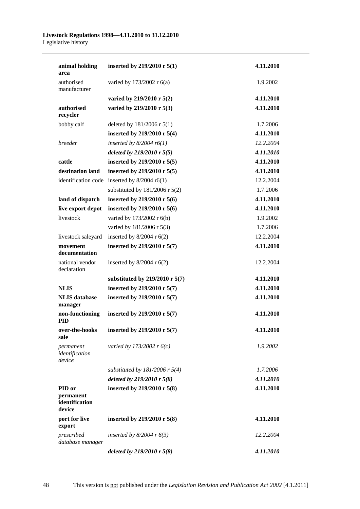#### **Livestock Regulations 1998—4.11.2010 to 31.12.2010**  Legislative history

| animal holding<br>area                          | inserted by 219/2010 r $5(1)$              | 4.11.2010 |
|-------------------------------------------------|--------------------------------------------|-----------|
| authorised<br>manufacturer                      | varied by 173/2002 r 6(a)                  | 1.9.2002  |
|                                                 | varied by 219/2010 r $5(2)$                | 4.11.2010 |
| authorised<br>recycler                          | varied by 219/2010 r 5(3)                  | 4.11.2010 |
| bobby calf                                      | deleted by 181/2006 r 5(1)                 | 1.7.2006  |
|                                                 | inserted by 219/2010 r $5(4)$              | 4.11.2010 |
| breeder                                         | inserted by $8/2004$ r6(1)                 | 12.2.2004 |
|                                                 | deleted by $219/2010$ r $5(5)$             | 4.11.2010 |
| cattle                                          | inserted by 219/2010 r 5(5)                | 4.11.2010 |
| destination land                                | inserted by 219/2010 r 5(5)                | 4.11.2010 |
| identification code                             | inserted by $8/2004$ r6(1)                 | 12.2.2004 |
|                                                 | substituted by $181/2006$ r $5(2)$         | 1.7.2006  |
| land of dispatch                                | inserted by 219/2010 r 5(6)                | 4.11.2010 |
| live export depot                               | inserted by 219/2010 r 5(6)                | 4.11.2010 |
| livestock                                       | varied by 173/2002 r 6(b)                  | 1.9.2002  |
|                                                 | varied by 181/2006 r 5(3)                  | 1.7.2006  |
| livestock saleyard                              | inserted by $8/2004$ r $6(2)$              | 12.2.2004 |
| movement<br>documentation                       | inserted by 219/2010 r 5(7)                | 4.11.2010 |
| national vendor<br>declaration                  | inserted by $8/2004$ r $6(2)$              | 12.2.2004 |
|                                                 | substituted by $219/2010$ r 5(7)           | 4.11.2010 |
| <b>NLIS</b>                                     | inserted by 219/2010 r 5(7)                | 4.11.2010 |
| <b>NLIS</b> database<br>manager                 | inserted by 219/2010 r 5(7)                | 4.11.2010 |
| non-functioning<br><b>PID</b>                   | inserted by 219/2010 r 5(7)                | 4.11.2010 |
| sale                                            | over-the-hooks inserted by 219/2010 r 5(7) | 4.11.2010 |
| permanent<br>identification<br>device           | varied by 173/2002 $r$ 6(c)                | 1.9.2002  |
|                                                 | substituted by $181/2006$ r 5(4)           | 1.7.2006  |
|                                                 | deleted by $219/2010$ r $5(8)$             | 4.11.2010 |
| PID or<br>permanent<br>identification<br>device | inserted by 219/2010 r 5(8)                | 4.11.2010 |
| port for live<br>export                         | inserted by 219/2010 r 5(8)                | 4.11.2010 |
| prescribed<br>database manager                  | inserted by $8/2004$ r $6(3)$              | 12.2.2004 |
|                                                 | deleted by $219/2010$ r $5(8)$             | 4.11.2010 |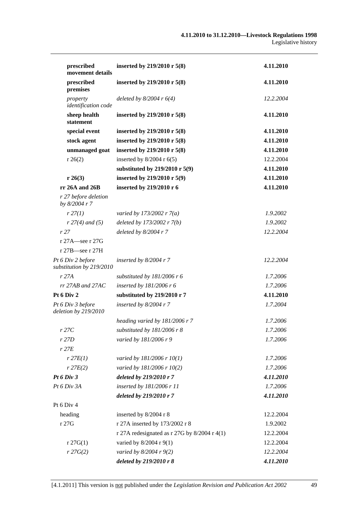| prescribed                                    | inserted by 219/2010 r 5(8)                    | 4.11.2010 |
|-----------------------------------------------|------------------------------------------------|-----------|
| movement details<br>prescribed                | inserted by 219/2010 r 5(8)                    | 4.11.2010 |
| premises                                      |                                                |           |
| property<br>identification code               | deleted by $8/2004$ r $6(4)$                   | 12.2.2004 |
| sheep health<br>statement                     | inserted by 219/2010 r 5(8)                    | 4.11.2010 |
| special event                                 | inserted by 219/2010 r 5(8)                    | 4.11.2010 |
| stock agent                                   | inserted by 219/2010 r 5(8)                    | 4.11.2010 |
| unmanaged goat                                | inserted by 219/2010 r 5(8)                    | 4.11.2010 |
| r 26(2)                                       | inserted by $8/2004$ r $6(5)$                  | 12.2.2004 |
|                                               | substituted by 219/2010 r 5(9)                 | 4.11.2010 |
| r 26(3)                                       | inserted by 219/2010 r 5(9)                    | 4.11.2010 |
| rr 26A and 26B                                | inserted by 219/2010 r 6                       | 4.11.2010 |
| r 27 before deletion<br>by 8/2004 r 7         |                                                |           |
| r 27(1)                                       | varied by 173/2002 r $7(a)$                    | 1.9.2002  |
| $r 27(4)$ and (5)                             | deleted by 173/2002 r 7(b)                     | 1.9.2002  |
| r27                                           | deleted by $8/2004$ r 7                        | 12.2.2004 |
| r 27A—see r 27G                               |                                                |           |
| $r 27B$ -see r 27H                            |                                                |           |
| Pt 6 Div 2 before<br>substitution by 219/2010 | inserted by $8/2004$ r 7                       | 12.2.2004 |
| r27A                                          | substituted by $181/2006$ r 6                  | 1.7.2006  |
| $rr$ 27AB and 27AC                            | inserted by 181/2006 r 6                       | 1.7.2006  |
| Pt 6 Div 2                                    | substituted by 219/2010 r 7                    | 4.11.2010 |
| Pt 6 Div 3 before<br>deletion by 219/2010     | inserted by $8/2004$ r 7                       | 1.7.2004  |
|                                               | heading varied by 181/2006 r 7                 | 1.7.2006  |
| r27C                                          | substituted by 181/2006 r 8                    | 1.7.2006  |
| r 27D                                         | varied by 181/2006 r 9                         | 1.7.2006  |
| $r$ 27 $E$                                    |                                                |           |
| $r$ 27 $E(1)$                                 | varied by 181/2006 r 10(1)                     | 1.7.2006  |
| $r$ 27 $E(2)$                                 | varied by 181/2006 r 10(2)                     | 1.7.2006  |
| Pt 6 Div 3                                    | deleted by 219/2010 r 7                        | 4.11.2010 |
| Pt 6 Div 3A                                   | inserted by 181/2006 r 11                      | 1.7.2006  |
|                                               | deleted by 219/2010 r 7                        | 4.11.2010 |
| Pt 6 Div 4                                    |                                                |           |
| heading                                       | inserted by 8/2004 r 8                         | 12.2.2004 |
| r 27G                                         | r 27A inserted by 173/2002 r 8                 | 1.9.2002  |
|                                               | r 27A redesignated as r 27G by $8/2004$ r 4(1) | 12.2.2004 |
| $r \, 27G(1)$                                 | varied by $8/2004$ r $9(1)$                    | 12.2.2004 |
| r 27G(2)                                      | varied by 8/2004 r 9(2)                        | 12.2.2004 |
|                                               | deleted by 219/2010 r 8                        | 4.11.2010 |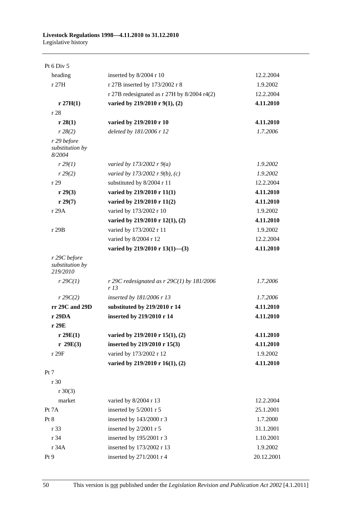| Pt $6$ Div $5$                              |                                                     |            |
|---------------------------------------------|-----------------------------------------------------|------------|
| heading                                     | inserted by 8/2004 r 10                             | 12.2.2004  |
| r27H                                        | r 27B inserted by 173/2002 r 8                      | 1.9.2002   |
|                                             | r 27B redesignated as $r$ 27H by 8/2004 r4(2)       | 12.2.2004  |
| r 27H(1)                                    | varied by 219/2010 r 9(1), (2)                      | 4.11.2010  |
| r 28                                        |                                                     |            |
| r 28(1)                                     | varied by 219/2010 r 10                             | 4.11.2010  |
| r 28(2)                                     | deleted by 181/2006 r 12                            | 1.7.2006   |
| r 29 before<br>substitution by<br>8/2004    |                                                     |            |
| r 29(1)                                     | varied by 173/2002 r $9(a)$                         | 1.9.2002   |
| r 29(2)                                     | varied by 173/2002 r $9(b)$ , (c)                   | 1.9.2002   |
| r29                                         | substituted by 8/2004 r 11                          | 12.2.2004  |
| r 29(3)                                     | varied by 219/2010 r 11(1)                          | 4.11.2010  |
| r 29(7)                                     | varied by 219/2010 r 11(2)                          | 4.11.2010  |
| r 29A                                       | varied by 173/2002 r 10                             | 1.9.2002   |
|                                             | varied by 219/2010 r 12(1), (2)                     | 4.11.2010  |
| r 29B                                       | varied by 173/2002 r 11                             | 1.9.2002   |
|                                             | varied by 8/2004 r 12                               | 12.2.2004  |
|                                             | varied by 219/2010 r 13(1)-(3)                      | 4.11.2010  |
| r 29C before<br>substitution by<br>219/2010 |                                                     |            |
| $r$ 29 $C(1)$                               | r 29C redesignated as $r$ 29C(1) by 181/2006<br>r13 | 1.7.2006   |
| $r \, 29C(2)$                               | inserted by 181/2006 r 13                           | 1.7.2006   |
| rr 29C and 29D                              | substituted by 219/2010 r 14                        | 4.11.2010  |
| r 29DA                                      | inserted by 219/2010 r 14                           | 4.11.2010  |
| r 29E                                       |                                                     |            |
| r 29E(1)                                    | varied by 219/2010 r 15(1), (2)                     | 4.11.2010  |
| r 29E(3)                                    | inserted by 219/2010 r 15(3)                        | 4.11.2010  |
| r 29F                                       | varied by 173/2002 r 12                             | 1.9.2002   |
|                                             | varied by 219/2010 r 16(1), (2)                     | 4.11.2010  |
| Pt 7                                        |                                                     |            |
| r 30                                        |                                                     |            |
| $r \ 30(3)$                                 |                                                     |            |
| market                                      | varied by 8/2004 r 13                               | 12.2.2004  |
| Pt 7A                                       | inserted by 5/2001 r 5                              | 25.1.2001  |
| Pt 8                                        | inserted by 143/2000 r 3                            | 1.7.2000   |
| r 33                                        | inserted by 2/2001 r 5                              | 31.1.2001  |
| r 34                                        | inserted by 195/2001 r 3                            | 1.10.2001  |
| r 34A                                       | inserted by 173/2002 r 13                           | 1.9.2002   |
| Pt 9                                        | inserted by 271/2001 r 4                            | 20.12.2001 |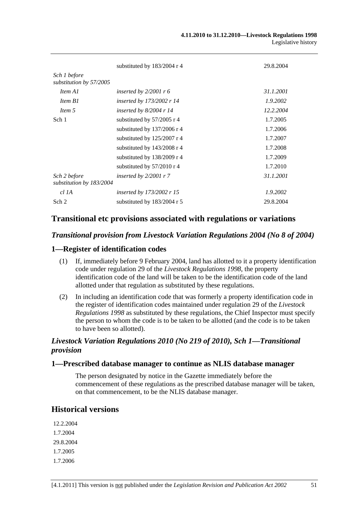|                                          | substituted by 183/2004 r 4      | 29.8.2004 |
|------------------------------------------|----------------------------------|-----------|
| Sch 1 before<br>substitution by 57/2005  |                                  |           |
| Item A1                                  | inserted by $2/2001$ r 6         | 31.1.2001 |
| Item B1                                  | inserted by $173/2002$ r 14      | 1.9.2002  |
| Item 5                                   | inserted by $8/2004$ r 14        | 12.2.2004 |
| Sch 1                                    | substituted by $57/2005$ r 4     | 1.7.2005  |
|                                          | substituted by $137/2006$ r 4    | 1.7.2006  |
|                                          | substituted by $125/2007$ r 4    | 1.7.2007  |
|                                          | substituted by $143/2008$ r 4    | 1.7.2008  |
|                                          | substituted by $138/2009$ r 4    | 1.7.2009  |
|                                          | substituted by $57/2010$ r 4     | 1.7.2010  |
| Sch 2 before<br>substitution by 183/2004 | inserted by $2/2001 r$ 7         | 31.1.2001 |
| $cl$ 1A                                  | <i>inserted by 173/2002 r 15</i> | 1.9.2002  |
| Sch 2                                    | substituted by $183/2004$ r 5    | 29.8.2004 |

## **Transitional etc provisions associated with regulations or variations**

#### *Transitional provision from Livestock Variation Regulations 2004 (No 8 of 2004)*

## **1—Register of identification codes**

- (1) If, immediately before 9 February 2004, land has allotted to it a property identification code under regulation 29 of the *[Livestock Regulations 1998](http://www.legislation.sa.gov.au/index.aspx?action=legref&type=act&legtitle=Livestock%20Regulations%201998)*, the property identification code of the land will be taken to be the identification code of the land allotted under that regulation as substituted by these regulations.
- (2) In including an identification code that was formerly a property identification code in the register of identification codes maintained under regulation 29 of the *[Livestock](http://www.legislation.sa.gov.au/index.aspx?action=legref&type=act&legtitle=Livestock%20Regulations%201998)  [Regulations 1998](http://www.legislation.sa.gov.au/index.aspx?action=legref&type=act&legtitle=Livestock%20Regulations%201998)* as substituted by these regulations, the Chief Inspector must specify the person to whom the code is to be taken to be allotted (and the code is to be taken to have been so allotted).

## *Livestock Variation Regulations 2010 (No 219 of 2010), Sch 1—Transitional provision*

#### **1—Prescribed database manager to continue as NLIS database manager**

The person designated by notice in the Gazette immediately before the commencement of these regulations as the prescribed database manager will be taken, on that commencement, to be the NLIS database manager.

## **Historical versions**

12.2.2004 1.7.2004 29.8.2004 1.7.2005 1.7.2006